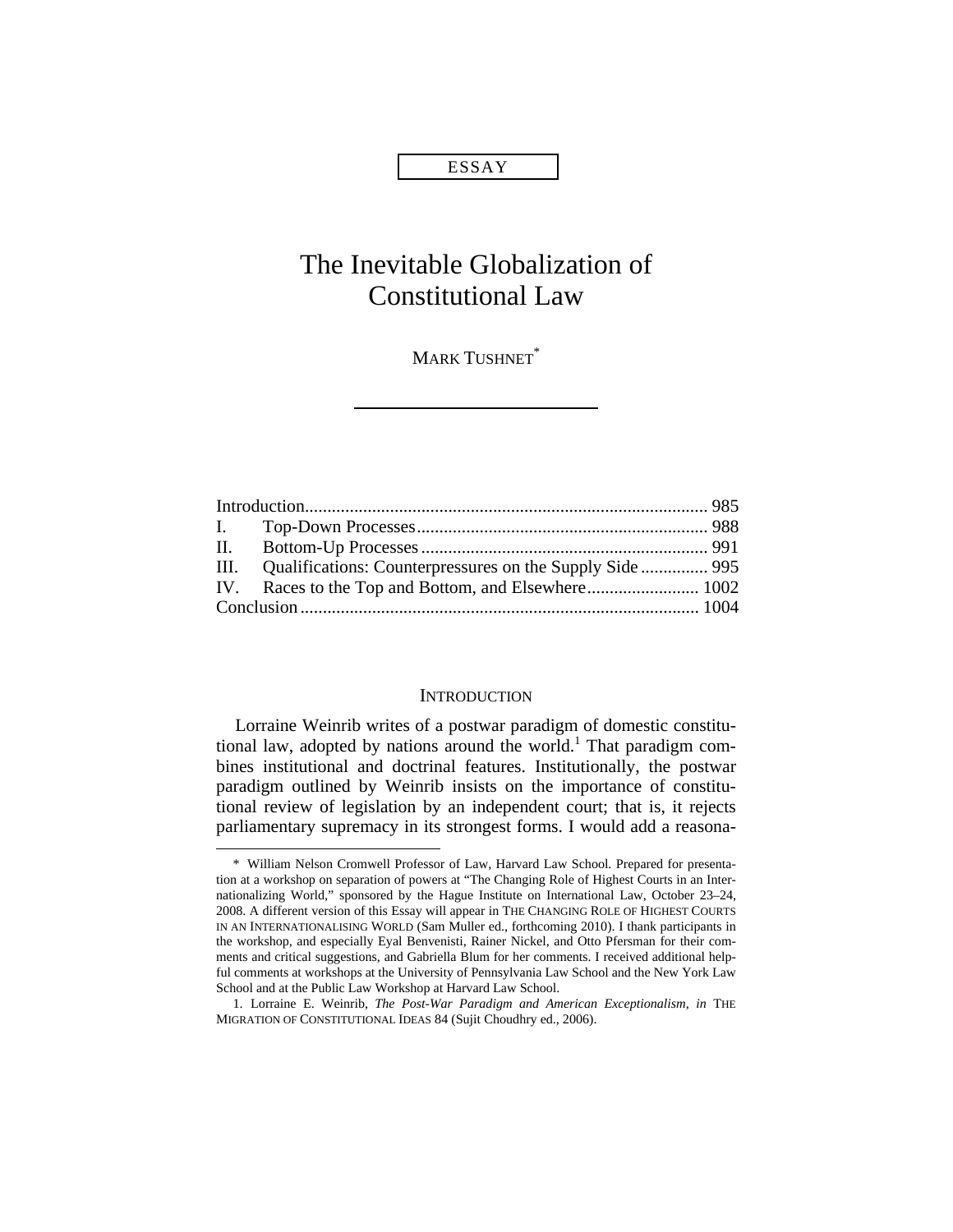## ESSAY

# The Inevitable Globalization of Constitutional Law

**MARK TUSHNET**\*

| III. Qualifications: Counterpressures on the Supply Side  995 |  |
|---------------------------------------------------------------|--|
|                                                               |  |
|                                                               |  |
|                                                               |  |

#### **INTRODUCTION**

Lorraine Weinrib writes of a postwar paradigm of domestic constitutional law, adopted by nations around the world.<sup>1</sup> That paradigm combines institutional and doctrinal features. Institutionally, the postwar paradigm outlined by Weinrib insists on the importance of constitutional review of legislation by an independent court; that is, it rejects parliamentary supremacy in its strongest forms. I would add a reasona-

<sup>\*</sup> William Nelson Cromwell Professor of Law, Harvard Law School. Prepared for presentation at a workshop on separation of powers at "The Changing Role of Highest Courts in an Internationalizing World," sponsored by the Hague Institute on International Law, October 23–24, 2008. A different version of this Essay will appear in THE CHANGING ROLE OF HIGHEST COURTS IN AN INTERNATIONALISING WORLD (Sam Muller ed., forthcoming 2010). I thank participants in the workshop, and especially Eyal Benvenisti, Rainer Nickel, and Otto Pfersman for their comments and critical suggestions, and Gabriella Blum for her comments. I received additional helpful comments at workshops at the University of Pennsylvania Law School and the New York Law School and at the Public Law Workshop at Harvard Law School.

<sup>1.</sup> Lorraine E. Weinrib, *The Post-War Paradigm and American Exceptionalism*, *in* THE MIGRATION OF CONSTITUTIONAL IDEAS 84 (Sujit Choudhry ed., 2006).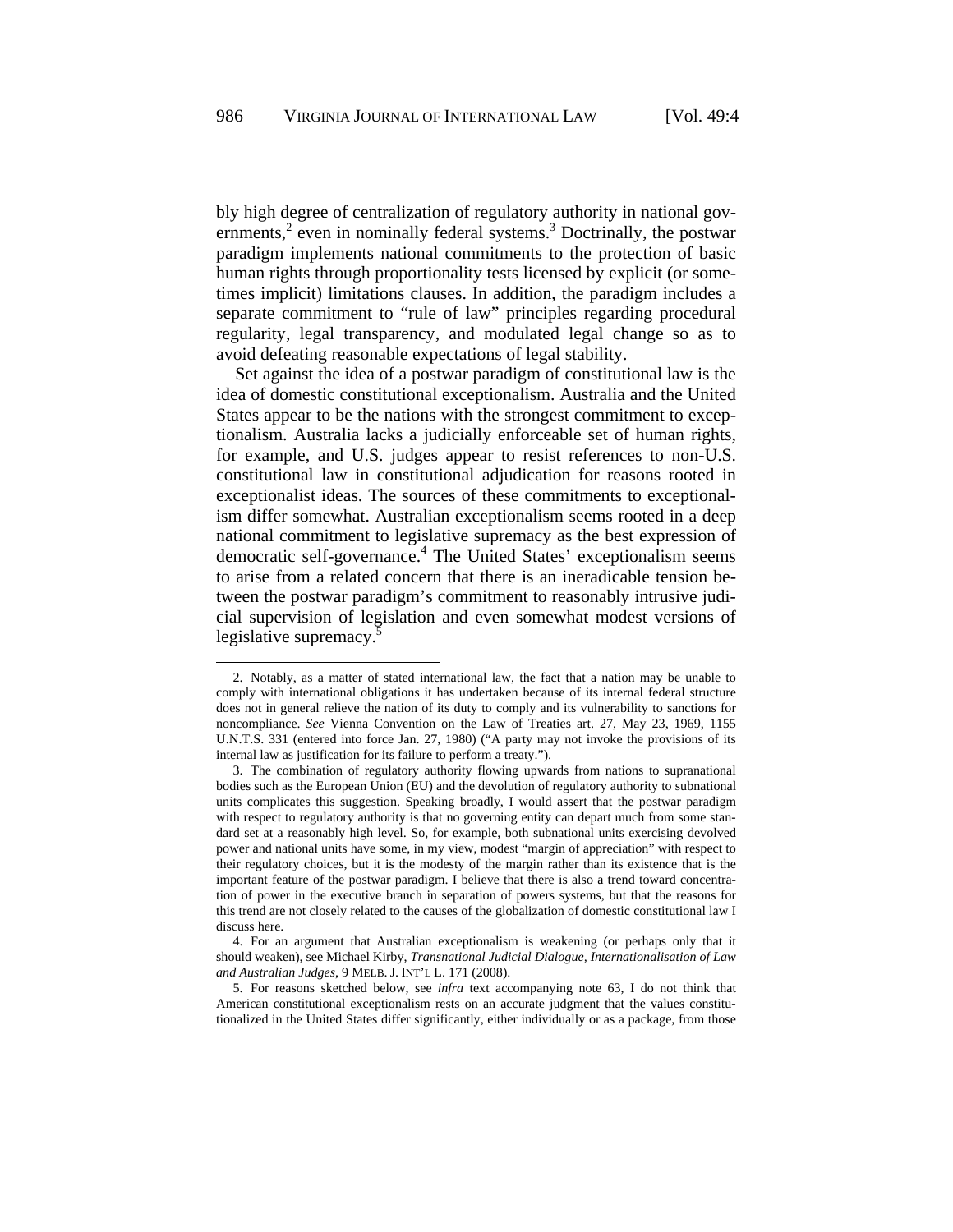bly high degree of centralization of regulatory authority in national governments, $2$  even in nominally federal systems.<sup>3</sup> Doctrinally, the postwar paradigm implements national commitments to the protection of basic human rights through proportionality tests licensed by explicit (or sometimes implicit) limitations clauses. In addition, the paradigm includes a separate commitment to "rule of law" principles regarding procedural regularity, legal transparency, and modulated legal change so as to avoid defeating reasonable expectations of legal stability.

Set against the idea of a postwar paradigm of constitutional law is the idea of domestic constitutional exceptionalism. Australia and the United States appear to be the nations with the strongest commitment to exceptionalism. Australia lacks a judicially enforceable set of human rights, for example, and U.S. judges appear to resist references to non-U.S. constitutional law in constitutional adjudication for reasons rooted in exceptionalist ideas. The sources of these commitments to exceptionalism differ somewhat. Australian exceptionalism seems rooted in a deep national commitment to legislative supremacy as the best expression of democratic self-governance.<sup>4</sup> The United States' exceptionalism seems to arise from a related concern that there is an ineradicable tension between the postwar paradigm's commitment to reasonably intrusive judicial supervision of legislation and even somewhat modest versions of legislative supremacy.<sup>5</sup>

<sup>2.</sup> Notably, as a matter of stated international law, the fact that a nation may be unable to comply with international obligations it has undertaken because of its internal federal structure does not in general relieve the nation of its duty to comply and its vulnerability to sanctions for noncompliance. *See* Vienna Convention on the Law of Treaties art. 27, May 23, 1969, 1155 U.N.T.S. 331 (entered into force Jan. 27, 1980) ("A party may not invoke the provisions of its internal law as justification for its failure to perform a treaty.").

<sup>3.</sup> The combination of regulatory authority flowing upwards from nations to supranational bodies such as the European Union (EU) and the devolution of regulatory authority to subnational units complicates this suggestion. Speaking broadly, I would assert that the postwar paradigm with respect to regulatory authority is that no governing entity can depart much from some standard set at a reasonably high level. So, for example, both subnational units exercising devolved power and national units have some, in my view, modest "margin of appreciation" with respect to their regulatory choices, but it is the modesty of the margin rather than its existence that is the important feature of the postwar paradigm. I believe that there is also a trend toward concentration of power in the executive branch in separation of powers systems, but that the reasons for this trend are not closely related to the causes of the globalization of domestic constitutional law I discuss here.

<sup>4.</sup> For an argument that Australian exceptionalism is weakening (or perhaps only that it should weaken), see Michael Kirby, *Transnational Judicial Dialogue, Internationalisation of Law and Australian Judges*, 9 MELB. J. INT'L L. 171 (2008).

<sup>5.</sup> For reasons sketched below, see *infra* text accompanying note 63, I do not think that American constitutional exceptionalism rests on an accurate judgment that the values constitutionalized in the United States differ significantly, either individually or as a package, from those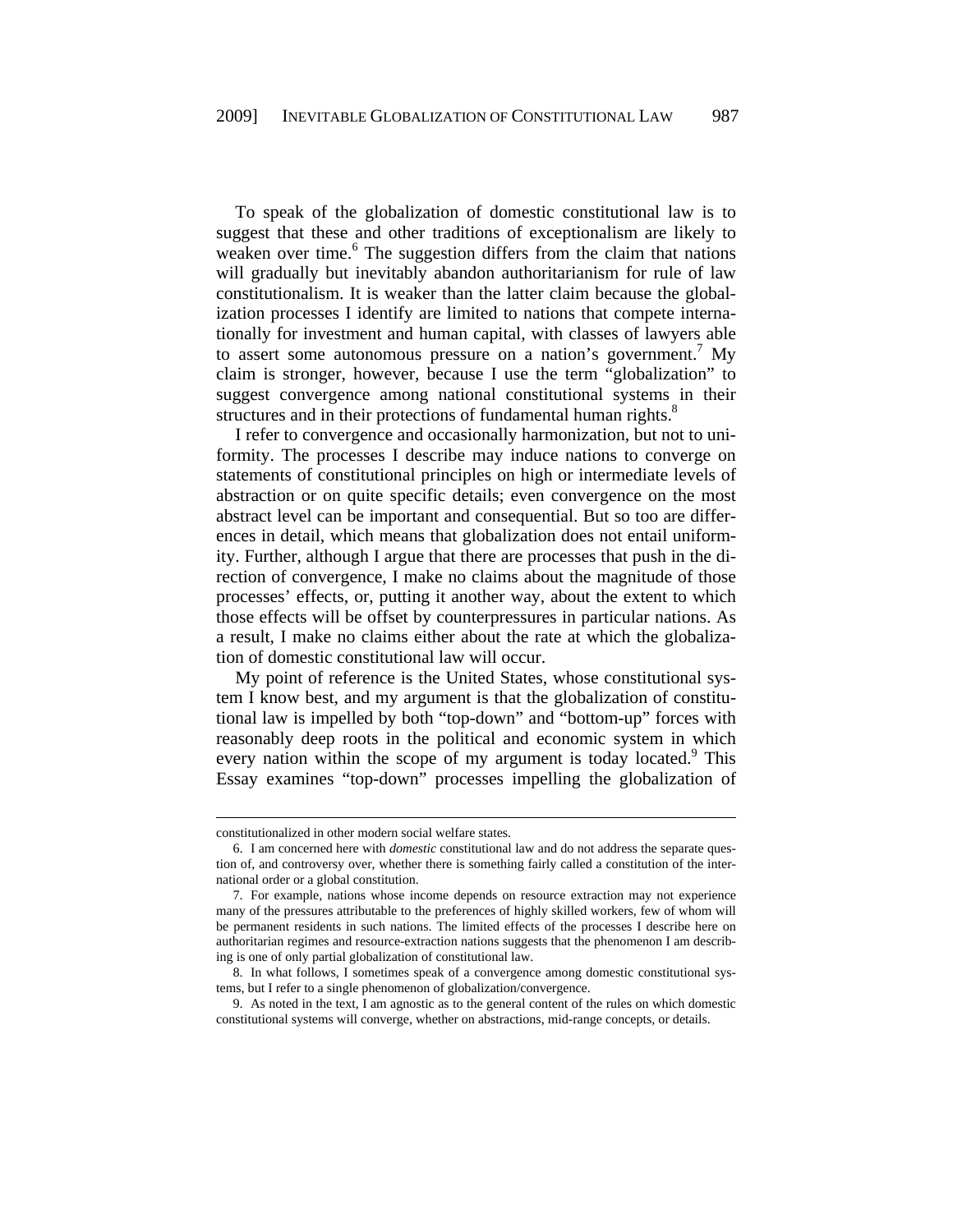To speak of the globalization of domestic constitutional law is to suggest that these and other traditions of exceptionalism are likely to weaken over time.<sup>6</sup> The suggestion differs from the claim that nations will gradually but inevitably abandon authoritarianism for rule of law constitutionalism. It is weaker than the latter claim because the globalization processes I identify are limited to nations that compete internationally for investment and human capital, with classes of lawyers able to assert some autonomous pressure on a nation's government.<sup>7</sup> My claim is stronger, however, because I use the term "globalization" to suggest convergence among national constitutional systems in their structures and in their protections of fundamental human rights.<sup>8</sup>

I refer to convergence and occasionally harmonization, but not to uniformity. The processes I describe may induce nations to converge on statements of constitutional principles on high or intermediate levels of abstraction or on quite specific details; even convergence on the most abstract level can be important and consequential. But so too are differences in detail, which means that globalization does not entail uniformity. Further, although I argue that there are processes that push in the direction of convergence, I make no claims about the magnitude of those processes' effects, or, putting it another way, about the extent to which those effects will be offset by counterpressures in particular nations. As a result, I make no claims either about the rate at which the globalization of domestic constitutional law will occur.

My point of reference is the United States, whose constitutional system I know best, and my argument is that the globalization of constitutional law is impelled by both "top-down" and "bottom-up" forces with reasonably deep roots in the political and economic system in which every nation within the scope of my argument is today located.<sup>9</sup> This Essay examines "top-down" processes impelling the globalization of

l

constitutionalized in other modern social welfare states.

<sup>6.</sup> I am concerned here with *domestic* constitutional law and do not address the separate question of, and controversy over, whether there is something fairly called a constitution of the international order or a global constitution.

<sup>7.</sup> For example, nations whose income depends on resource extraction may not experience many of the pressures attributable to the preferences of highly skilled workers, few of whom will be permanent residents in such nations. The limited effects of the processes I describe here on authoritarian regimes and resource-extraction nations suggests that the phenomenon I am describing is one of only partial globalization of constitutional law.

<sup>8.</sup> In what follows, I sometimes speak of a convergence among domestic constitutional systems, but I refer to a single phenomenon of globalization/convergence.

<sup>9.</sup> As noted in the text, I am agnostic as to the general content of the rules on which domestic constitutional systems will converge, whether on abstractions, mid-range concepts, or details.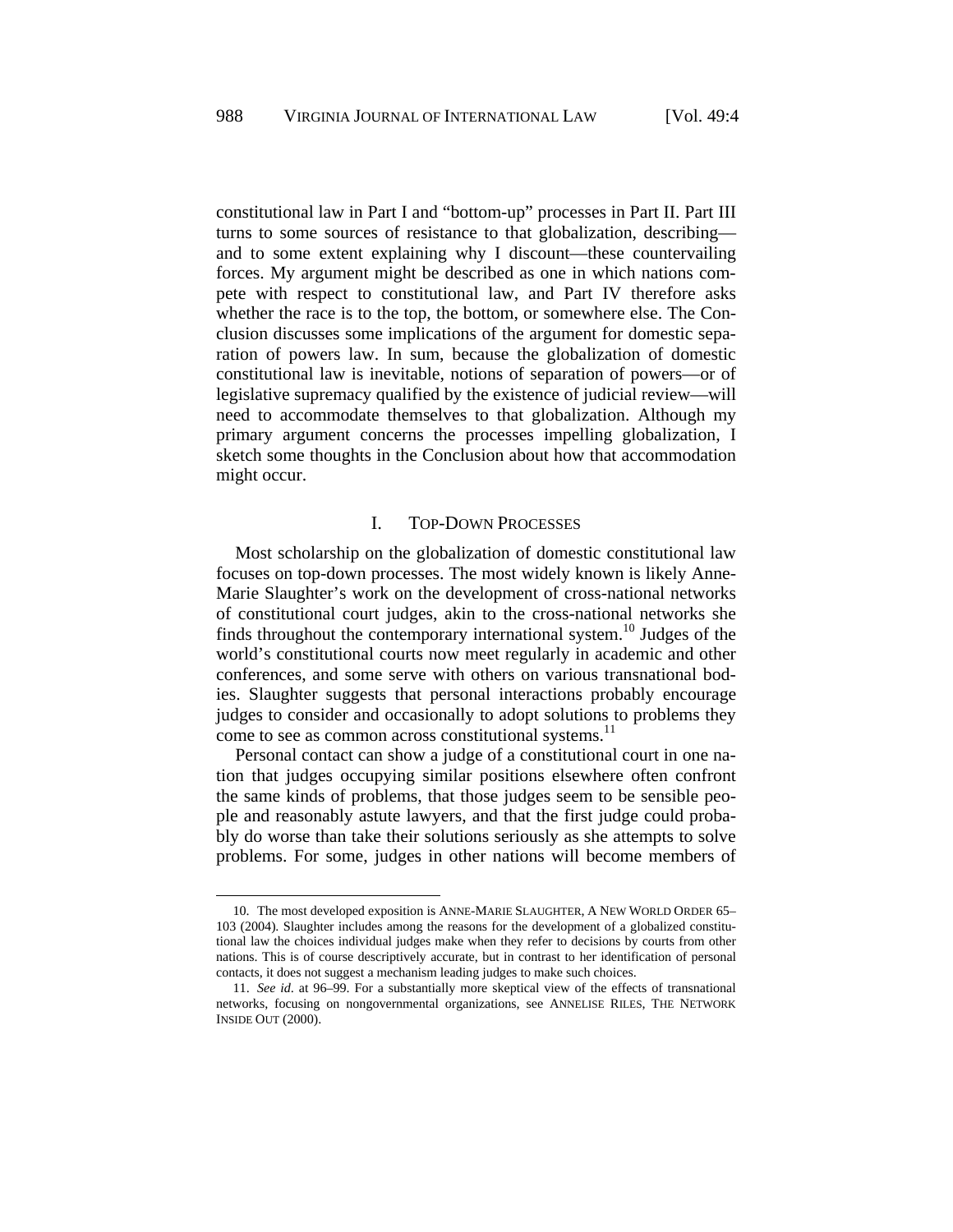constitutional law in Part I and "bottom-up" processes in Part II. Part III turns to some sources of resistance to that globalization, describing and to some extent explaining why I discount—these countervailing forces. My argument might be described as one in which nations compete with respect to constitutional law, and Part IV therefore asks whether the race is to the top, the bottom, or somewhere else. The Conclusion discusses some implications of the argument for domestic separation of powers law. In sum, because the globalization of domestic constitutional law is inevitable, notions of separation of powers—or of legislative supremacy qualified by the existence of judicial review—will need to accommodate themselves to that globalization. Although my primary argument concerns the processes impelling globalization, I sketch some thoughts in the Conclusion about how that accommodation might occur.

### I. TOP-DOWN PROCESSES

Most scholarship on the globalization of domestic constitutional law focuses on top-down processes. The most widely known is likely Anne-Marie Slaughter's work on the development of cross-national networks of constitutional court judges, akin to the cross-national networks she finds throughout the contemporary international system.<sup>10</sup> Judges of the world's constitutional courts now meet regularly in academic and other conferences, and some serve with others on various transnational bodies. Slaughter suggests that personal interactions probably encourage judges to consider and occasionally to adopt solutions to problems they come to see as common across constitutional systems.<sup>11</sup>

Personal contact can show a judge of a constitutional court in one nation that judges occupying similar positions elsewhere often confront the same kinds of problems, that those judges seem to be sensible people and reasonably astute lawyers, and that the first judge could probably do worse than take their solutions seriously as she attempts to solve problems. For some, judges in other nations will become members of

<sup>10.</sup> The most developed exposition is ANNE-MARIE SLAUGHTER, A NEW WORLD ORDER 65– 103 (2004). Slaughter includes among the reasons for the development of a globalized constitutional law the choices individual judges make when they refer to decisions by courts from other nations. This is of course descriptively accurate, but in contrast to her identification of personal contacts, it does not suggest a mechanism leading judges to make such choices.

<sup>11.</sup> *See id*. at 96–99. For a substantially more skeptical view of the effects of transnational networks, focusing on nongovernmental organizations, see ANNELISE RILES, THE NETWORK INSIDE OUT (2000).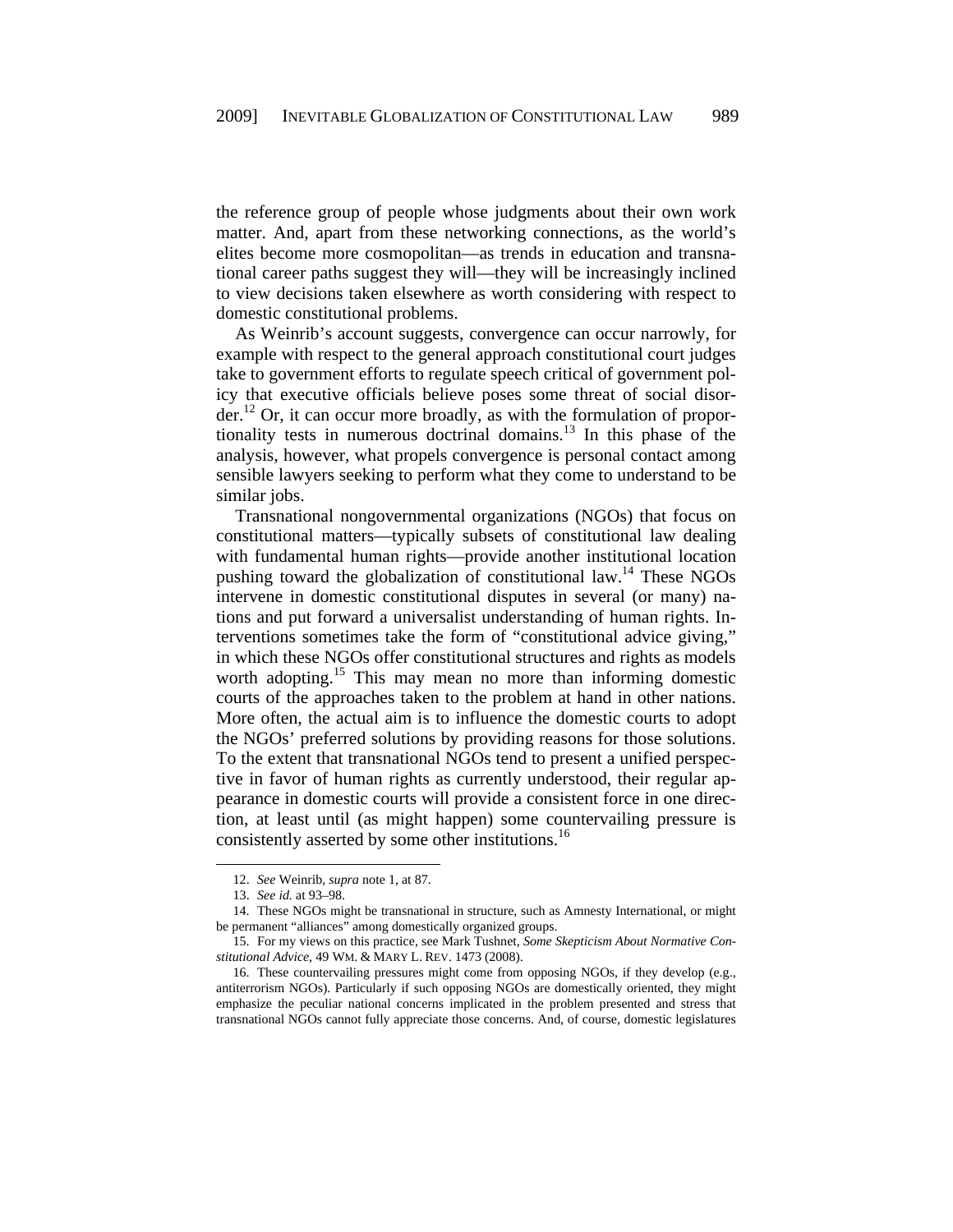the reference group of people whose judgments about their own work matter. And, apart from these networking connections, as the world's elites become more cosmopolitan—as trends in education and transnational career paths suggest they will—they will be increasingly inclined to view decisions taken elsewhere as worth considering with respect to domestic constitutional problems.

As Weinrib's account suggests, convergence can occur narrowly, for example with respect to the general approach constitutional court judges take to government efforts to regulate speech critical of government policy that executive officials believe poses some threat of social disorder.<sup>12</sup> Or, it can occur more broadly, as with the formulation of proportionality tests in numerous doctrinal domains.<sup>13</sup> In this phase of the analysis, however, what propels convergence is personal contact among sensible lawyers seeking to perform what they come to understand to be similar jobs.

Transnational nongovernmental organizations (NGOs) that focus on constitutional matters—typically subsets of constitutional law dealing with fundamental human rights—provide another institutional location pushing toward the globalization of constitutional law.<sup>14</sup> These NGOs intervene in domestic constitutional disputes in several (or many) nations and put forward a universalist understanding of human rights. Interventions sometimes take the form of "constitutional advice giving," in which these NGOs offer constitutional structures and rights as models worth adopting.<sup>15</sup> This may mean no more than informing domestic courts of the approaches taken to the problem at hand in other nations. More often, the actual aim is to influence the domestic courts to adopt the NGOs' preferred solutions by providing reasons for those solutions. To the extent that transnational NGOs tend to present a unified perspective in favor of human rights as currently understood, their regular appearance in domestic courts will provide a consistent force in one direction, at least until (as might happen) some countervailing pressure is consistently asserted by some other institutions.<sup>16</sup>

<sup>12.</sup> *See* Weinrib, *supra* note 1, at 87.

<sup>13.</sup> *See id.* at 93–98.

<sup>14.</sup> These NGOs might be transnational in structure, such as Amnesty International, or might be permanent "alliances" among domestically organized groups.

<sup>15.</sup> For my views on this practice, see Mark Tushnet, *Some Skepticism About Normative Constitutional Advice*, 49 WM. & MARY L. REV. 1473 (2008).

<sup>16.</sup> These countervailing pressures might come from opposing NGOs, if they develop (e.g., antiterrorism NGOs). Particularly if such opposing NGOs are domestically oriented, they might emphasize the peculiar national concerns implicated in the problem presented and stress that transnational NGOs cannot fully appreciate those concerns. And, of course, domestic legislatures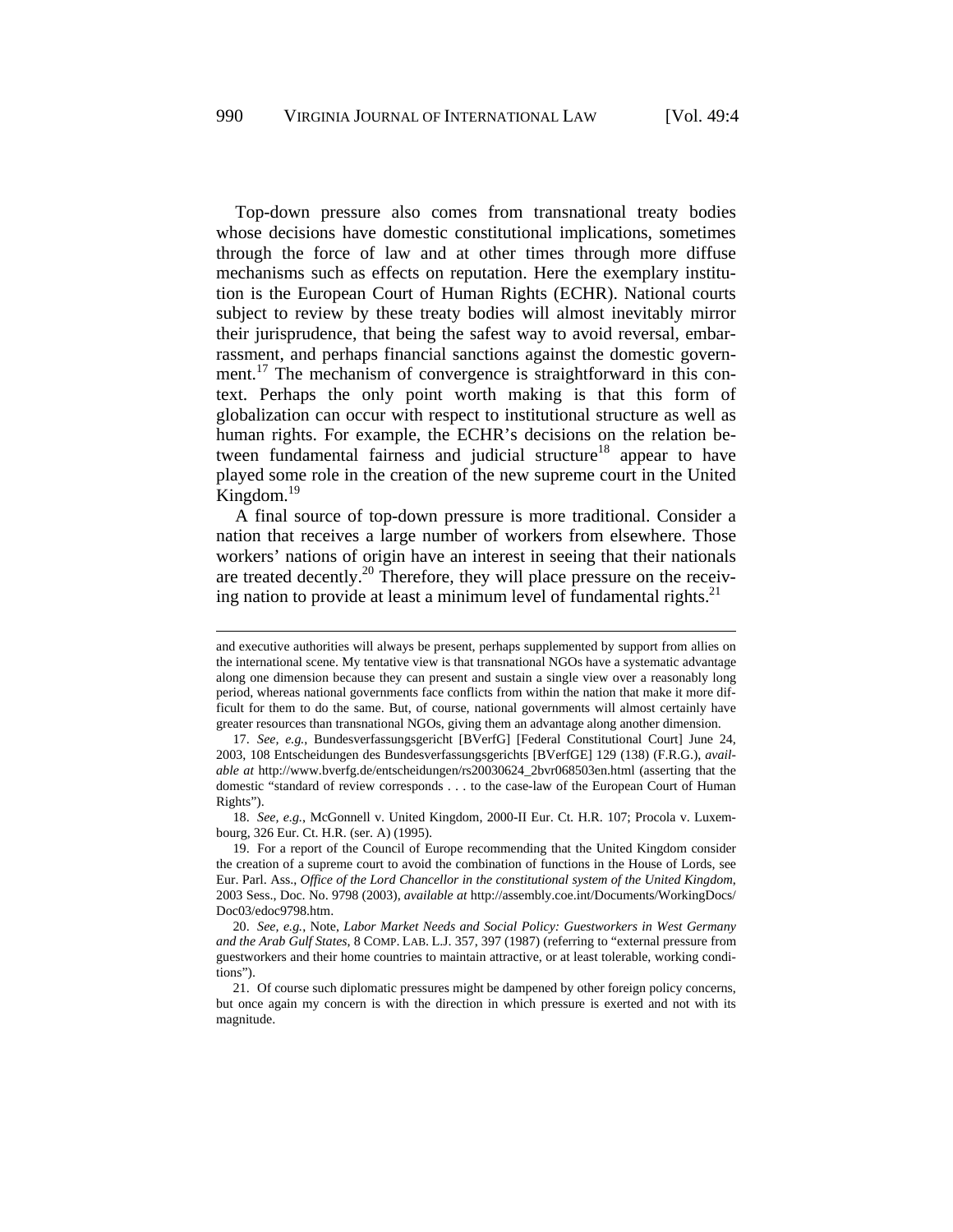Top-down pressure also comes from transnational treaty bodies whose decisions have domestic constitutional implications, sometimes through the force of law and at other times through more diffuse mechanisms such as effects on reputation. Here the exemplary institution is the European Court of Human Rights (ECHR). National courts subject to review by these treaty bodies will almost inevitably mirror their jurisprudence, that being the safest way to avoid reversal, embarrassment, and perhaps financial sanctions against the domestic government.<sup>17</sup> The mechanism of convergence is straightforward in this context. Perhaps the only point worth making is that this form of globalization can occur with respect to institutional structure as well as human rights. For example, the ECHR's decisions on the relation between fundamental fairness and judicial structure<sup>18</sup> appear to have played some role in the creation of the new supreme court in the United Kingdom. $^{19}$ 

A final source of top-down pressure is more traditional. Consider a nation that receives a large number of workers from elsewhere. Those workers' nations of origin have an interest in seeing that their nationals are treated decently.<sup>20</sup> Therefore, they will place pressure on the receiving nation to provide at least a minimum level of fundamental rights. $21$ 

l

18. *See, e.g.*, McGonnell v. United Kingdom, 2000-II Eur. Ct. H.R. 107; Procola v. Luxembourg, 326 Eur. Ct. H.R. (ser. A) (1995).

and executive authorities will always be present, perhaps supplemented by support from allies on the international scene. My tentative view is that transnational NGOs have a systematic advantage along one dimension because they can present and sustain a single view over a reasonably long period, whereas national governments face conflicts from within the nation that make it more difficult for them to do the same. But, of course, national governments will almost certainly have greater resources than transnational NGOs, giving them an advantage along another dimension.

<sup>17.</sup> *See, e.g.*, Bundesverfassungsgericht [BVerfG] [Federal Constitutional Court] June 24, 2003, 108 Entscheidungen des Bundesverfassungsgerichts [BVerfGE] 129 (138) (F.R.G.), *available at* http://www.bverfg.de/entscheidungen/rs20030624\_2bvr068503en.html (asserting that the domestic "standard of review corresponds . . . to the case-law of the European Court of Human Rights").

<sup>19.</sup> For a report of the Council of Europe recommending that the United Kingdom consider the creation of a supreme court to avoid the combination of functions in the House of Lords, see Eur. Parl. Ass., *Office of the Lord Chancellor in the constitutional system of the United Kingdom*, 2003 Sess., Doc. No. 9798 (2003), *available at* http://assembly.coe.int/Documents/WorkingDocs/ Doc03/edoc9798.htm.

<sup>20.</sup> *See, e.g.*, Note, *Labor Market Needs and Social Policy: Guestworkers in West Germany and the Arab Gulf States*, 8 COMP. LAB. L.J. 357, 397 (1987) (referring to "external pressure from guestworkers and their home countries to maintain attractive, or at least tolerable, working conditions").

<sup>21.</sup> Of course such diplomatic pressures might be dampened by other foreign policy concerns, but once again my concern is with the direction in which pressure is exerted and not with its magnitude.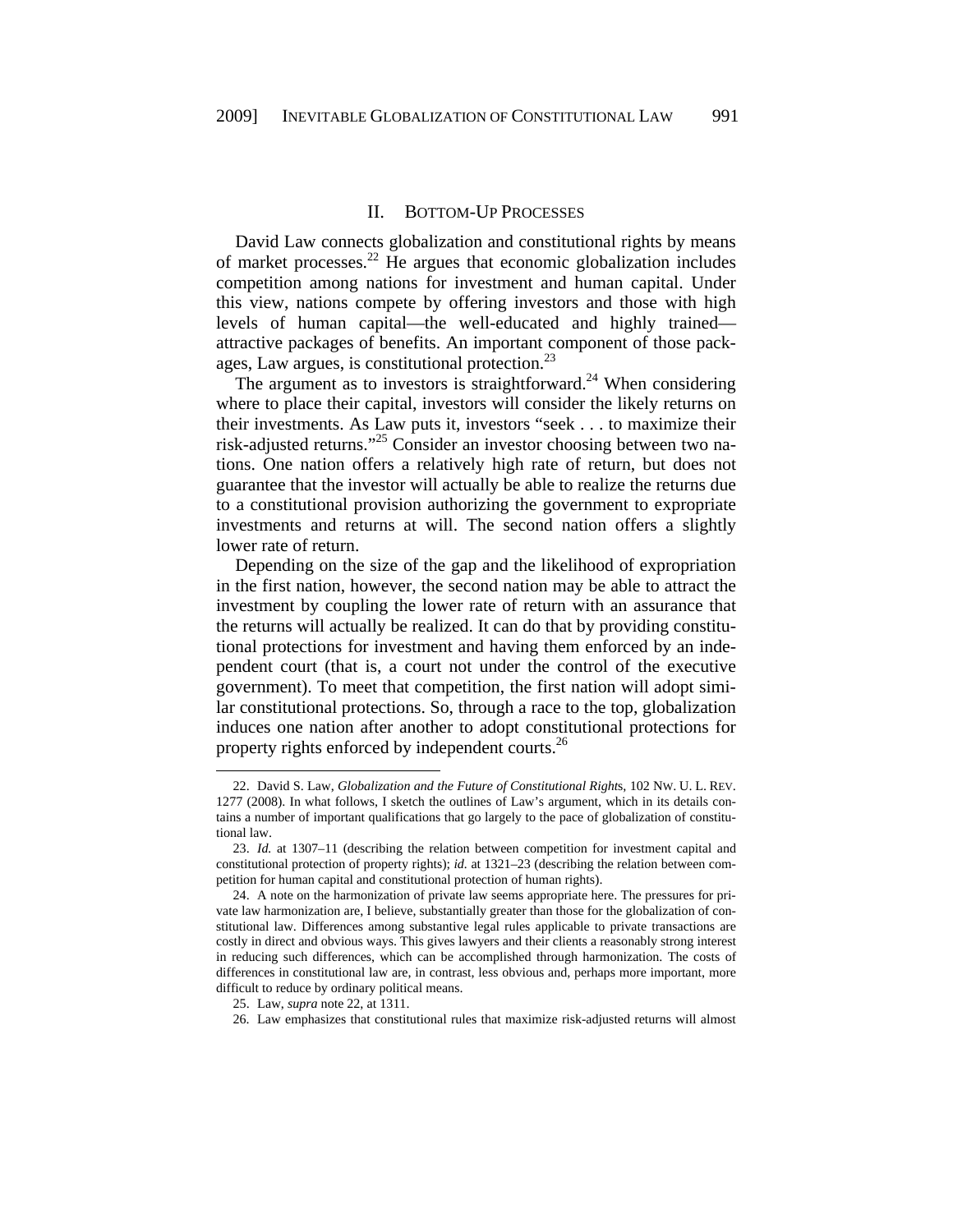#### II. BOTTOM-UP PROCESSES

David Law connects globalization and constitutional rights by means of market processes.<sup>22</sup> He argues that economic globalization includes competition among nations for investment and human capital. Under this view, nations compete by offering investors and those with high levels of human capital—the well-educated and highly trained attractive packages of benefits. An important component of those packages, Law argues, is constitutional protection.<sup>23</sup>

The argument as to investors is straightforward.<sup>24</sup> When considering where to place their capital, investors will consider the likely returns on their investments. As Law puts it, investors "seek . . . to maximize their risk-adjusted returns."25 Consider an investor choosing between two nations. One nation offers a relatively high rate of return, but does not guarantee that the investor will actually be able to realize the returns due to a constitutional provision authorizing the government to expropriate investments and returns at will. The second nation offers a slightly lower rate of return.

Depending on the size of the gap and the likelihood of expropriation in the first nation, however, the second nation may be able to attract the investment by coupling the lower rate of return with an assurance that the returns will actually be realized. It can do that by providing constitutional protections for investment and having them enforced by an independent court (that is, a court not under the control of the executive government). To meet that competition, the first nation will adopt similar constitutional protections. So, through a race to the top, globalization induces one nation after another to adopt constitutional protections for property rights enforced by independent courts.<sup>26</sup>

<sup>22.</sup> David S. Law, *Globalization and the Future of Constitutional Right*s, 102 NW. U. L. REV. 1277 (2008). In what follows, I sketch the outlines of Law's argument, which in its details contains a number of important qualifications that go largely to the pace of globalization of constitutional law.

<sup>23.</sup> *Id.* at 1307–11 (describing the relation between competition for investment capital and constitutional protection of property rights); *id.* at 1321–23 (describing the relation between competition for human capital and constitutional protection of human rights).

<sup>24.</sup> A note on the harmonization of private law seems appropriate here. The pressures for private law harmonization are, I believe, substantially greater than those for the globalization of constitutional law. Differences among substantive legal rules applicable to private transactions are costly in direct and obvious ways. This gives lawyers and their clients a reasonably strong interest in reducing such differences, which can be accomplished through harmonization. The costs of differences in constitutional law are, in contrast, less obvious and, perhaps more important, more difficult to reduce by ordinary political means.

<sup>25.</sup> Law, *supra* note 22, at 1311.

<sup>26.</sup> Law emphasizes that constitutional rules that maximize risk-adjusted returns will almost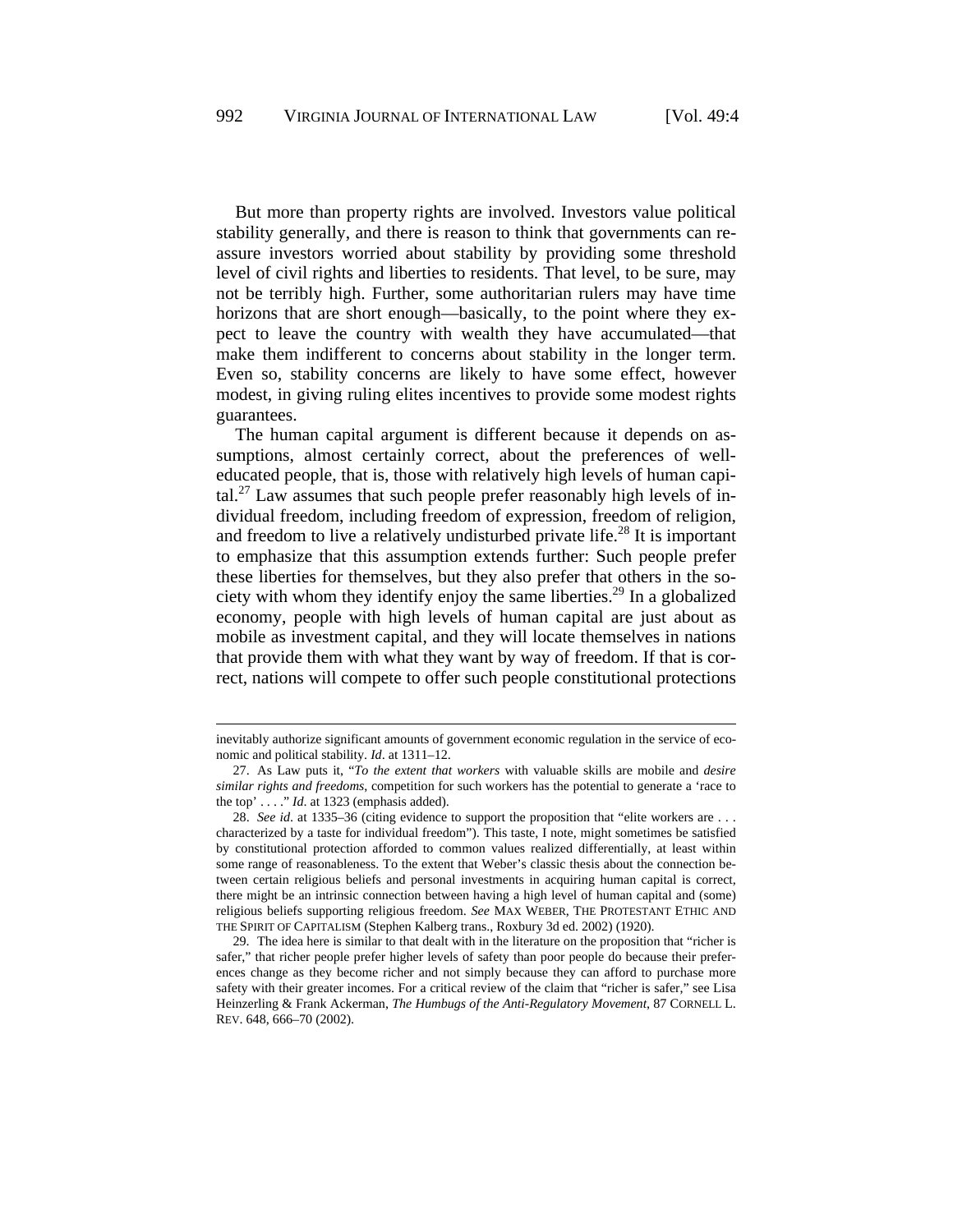But more than property rights are involved. Investors value political stability generally, and there is reason to think that governments can reassure investors worried about stability by providing some threshold level of civil rights and liberties to residents. That level, to be sure, may not be terribly high. Further, some authoritarian rulers may have time horizons that are short enough—basically, to the point where they expect to leave the country with wealth they have accumulated—that make them indifferent to concerns about stability in the longer term. Even so, stability concerns are likely to have some effect, however modest, in giving ruling elites incentives to provide some modest rights guarantees.

The human capital argument is different because it depends on assumptions, almost certainly correct, about the preferences of welleducated people, that is, those with relatively high levels of human capital.<sup>27</sup> Law assumes that such people prefer reasonably high levels of individual freedom, including freedom of expression, freedom of religion, and freedom to live a relatively undisturbed private life.<sup>28</sup> It is important to emphasize that this assumption extends further: Such people prefer these liberties for themselves, but they also prefer that others in the society with whom they identify enjoy the same liberties.<sup>29</sup> In a globalized economy, people with high levels of human capital are just about as mobile as investment capital, and they will locate themselves in nations that provide them with what they want by way of freedom. If that is correct, nations will compete to offer such people constitutional protections

l

inevitably authorize significant amounts of government economic regulation in the service of economic and political stability. *Id*. at 1311–12.

<sup>27.</sup> As Law puts it, "*To the extent that workers* with valuable skills are mobile and *desire similar rights and freedoms*, competition for such workers has the potential to generate a 'race to the top'  $\dots$  " *Id.* at 1323 (emphasis added).

<sup>28.</sup> *See id*. at 1335–36 (citing evidence to support the proposition that "elite workers are . . . characterized by a taste for individual freedom"). This taste, I note, might sometimes be satisfied by constitutional protection afforded to common values realized differentially, at least within some range of reasonableness. To the extent that Weber's classic thesis about the connection between certain religious beliefs and personal investments in acquiring human capital is correct, there might be an intrinsic connection between having a high level of human capital and (some) religious beliefs supporting religious freedom. *See* MAX WEBER, THE PROTESTANT ETHIC AND THE SPIRIT OF CAPITALISM (Stephen Kalberg trans., Roxbury 3d ed. 2002) (1920).

<sup>29.</sup> The idea here is similar to that dealt with in the literature on the proposition that "richer is safer," that richer people prefer higher levels of safety than poor people do because their preferences change as they become richer and not simply because they can afford to purchase more safety with their greater incomes. For a critical review of the claim that "richer is safer," see Lisa Heinzerling & Frank Ackerman, *The Humbugs of the Anti-Regulatory Movement*, 87 CORNELL L. REV. 648, 666–70 (2002).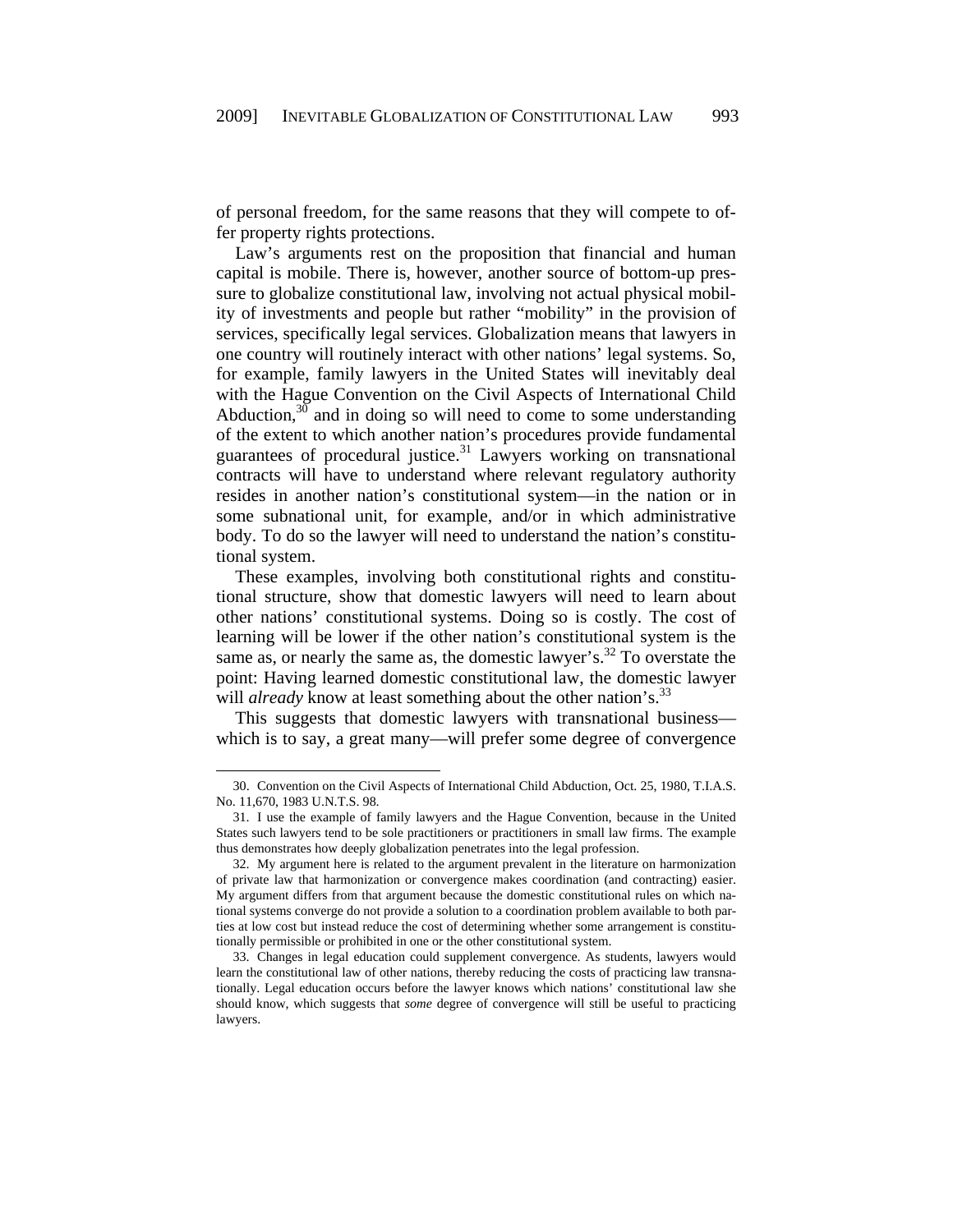of personal freedom, for the same reasons that they will compete to offer property rights protections.

Law's arguments rest on the proposition that financial and human capital is mobile. There is, however, another source of bottom-up pressure to globalize constitutional law, involving not actual physical mobility of investments and people but rather "mobility" in the provision of services, specifically legal services. Globalization means that lawyers in one country will routinely interact with other nations' legal systems. So, for example, family lawyers in the United States will inevitably deal with the Hague Convention on the Civil Aspects of International Child Abduction,  $30$  and in doing so will need to come to some understanding of the extent to which another nation's procedures provide fundamental guarantees of procedural justice.<sup>31</sup> Lawyers working on transnational contracts will have to understand where relevant regulatory authority resides in another nation's constitutional system—in the nation or in some subnational unit, for example, and/or in which administrative body. To do so the lawyer will need to understand the nation's constitutional system.

These examples, involving both constitutional rights and constitutional structure, show that domestic lawyers will need to learn about other nations' constitutional systems. Doing so is costly. The cost of learning will be lower if the other nation's constitutional system is the same as, or nearly the same as, the domestic lawyer's.<sup>32</sup> To overstate the point: Having learned domestic constitutional law, the domestic lawyer will *already* know at least something about the other nation's.<sup>33</sup>

This suggests that domestic lawyers with transnational business which is to say, a great many—will prefer some degree of convergence

<sup>30.</sup> Convention on the Civil Aspects of International Child Abduction, Oct. 25, 1980, T.I.A.S. No. 11,670, 1983 U.N.T.S. 98.

<sup>31.</sup> I use the example of family lawyers and the Hague Convention, because in the United States such lawyers tend to be sole practitioners or practitioners in small law firms. The example thus demonstrates how deeply globalization penetrates into the legal profession.

<sup>32.</sup> My argument here is related to the argument prevalent in the literature on harmonization of private law that harmonization or convergence makes coordination (and contracting) easier. My argument differs from that argument because the domestic constitutional rules on which national systems converge do not provide a solution to a coordination problem available to both parties at low cost but instead reduce the cost of determining whether some arrangement is constitutionally permissible or prohibited in one or the other constitutional system.

<sup>33.</sup> Changes in legal education could supplement convergence. As students, lawyers would learn the constitutional law of other nations, thereby reducing the costs of practicing law transnationally. Legal education occurs before the lawyer knows which nations' constitutional law she should know, which suggests that *some* degree of convergence will still be useful to practicing lawyers.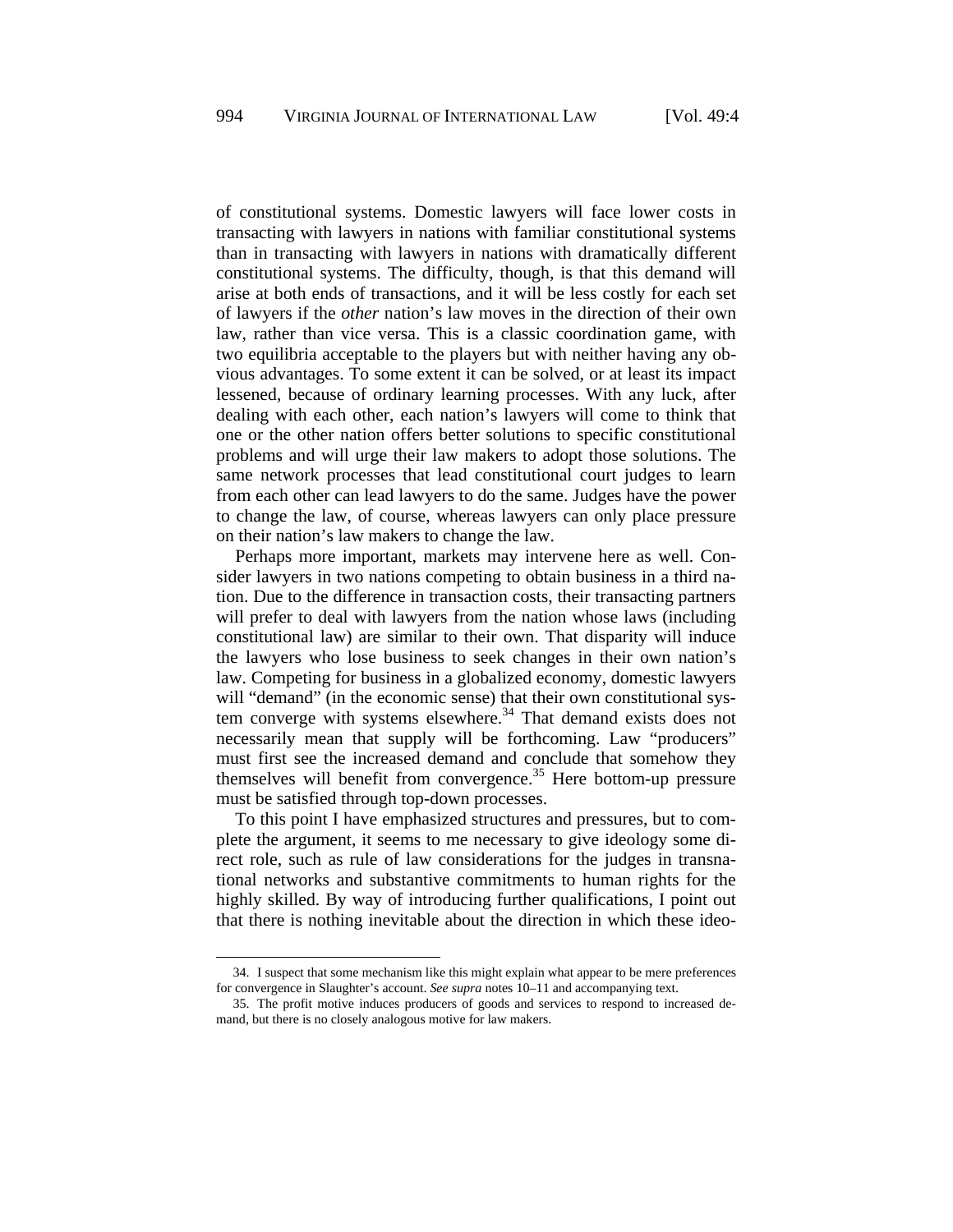of constitutional systems. Domestic lawyers will face lower costs in transacting with lawyers in nations with familiar constitutional systems than in transacting with lawyers in nations with dramatically different constitutional systems. The difficulty, though, is that this demand will arise at both ends of transactions, and it will be less costly for each set of lawyers if the *other* nation's law moves in the direction of their own law, rather than vice versa. This is a classic coordination game, with two equilibria acceptable to the players but with neither having any obvious advantages. To some extent it can be solved, or at least its impact lessened, because of ordinary learning processes. With any luck, after dealing with each other, each nation's lawyers will come to think that one or the other nation offers better solutions to specific constitutional problems and will urge their law makers to adopt those solutions. The same network processes that lead constitutional court judges to learn from each other can lead lawyers to do the same. Judges have the power to change the law, of course, whereas lawyers can only place pressure on their nation's law makers to change the law.

Perhaps more important, markets may intervene here as well. Consider lawyers in two nations competing to obtain business in a third nation. Due to the difference in transaction costs, their transacting partners will prefer to deal with lawyers from the nation whose laws (including constitutional law) are similar to their own. That disparity will induce the lawyers who lose business to seek changes in their own nation's law. Competing for business in a globalized economy, domestic lawyers will "demand" (in the economic sense) that their own constitutional system converge with systems elsewhere. $34$  That demand exists does not necessarily mean that supply will be forthcoming. Law "producers" must first see the increased demand and conclude that somehow they themselves will benefit from convergence.<sup>35</sup> Here bottom-up pressure must be satisfied through top-down processes.

To this point I have emphasized structures and pressures, but to complete the argument, it seems to me necessary to give ideology some direct role, such as rule of law considerations for the judges in transnational networks and substantive commitments to human rights for the highly skilled. By way of introducing further qualifications, I point out that there is nothing inevitable about the direction in which these ideo-

<sup>34.</sup> I suspect that some mechanism like this might explain what appear to be mere preferences for convergence in Slaughter's account. *See supra* notes 10–11 and accompanying text.

<sup>35.</sup> The profit motive induces producers of goods and services to respond to increased demand, but there is no closely analogous motive for law makers.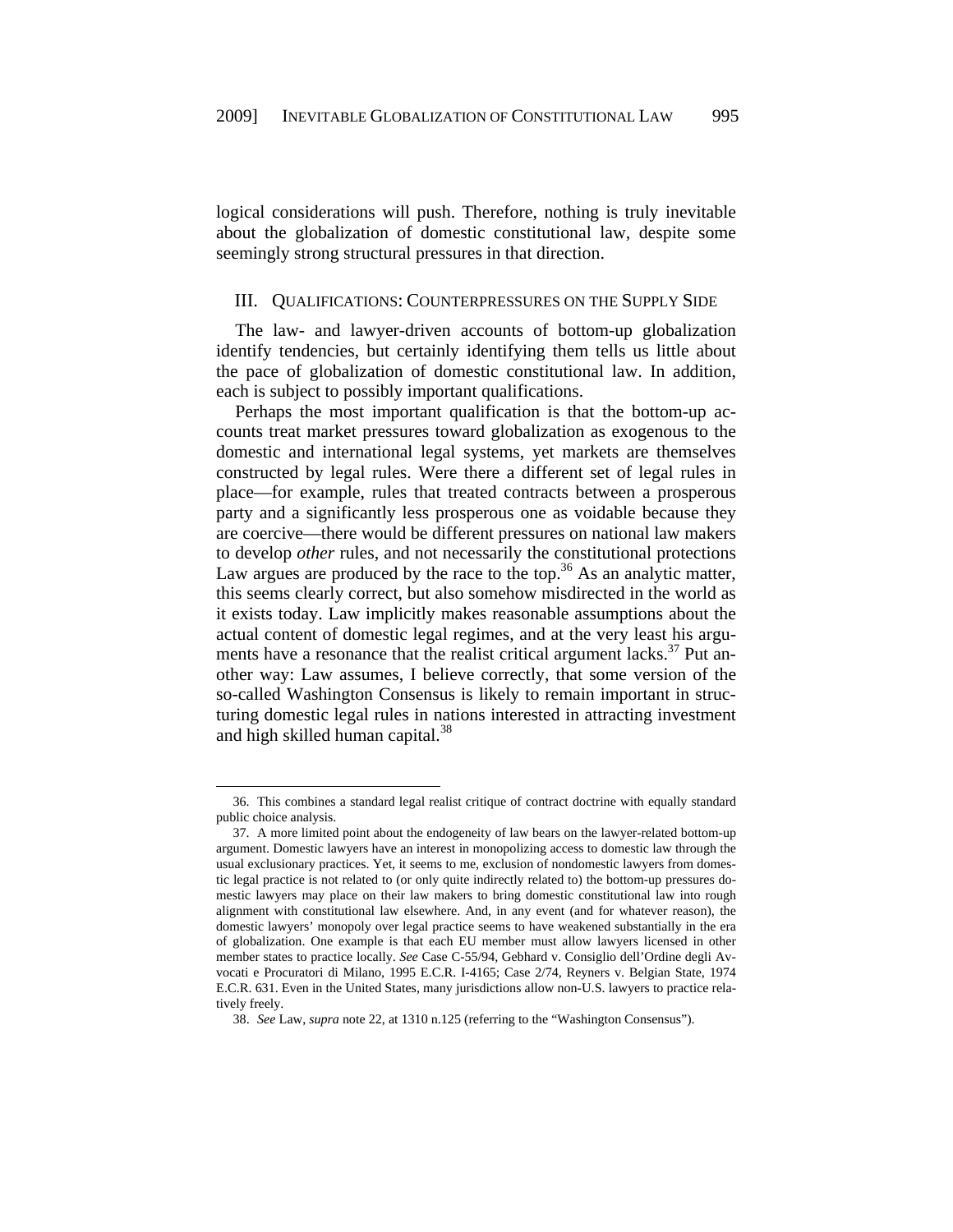logical considerations will push. Therefore, nothing is truly inevitable about the globalization of domestic constitutional law, despite some seemingly strong structural pressures in that direction.

## III. QUALIFICATIONS: COUNTERPRESSURES ON THE SUPPLY SIDE

The law- and lawyer-driven accounts of bottom-up globalization identify tendencies, but certainly identifying them tells us little about the pace of globalization of domestic constitutional law. In addition, each is subject to possibly important qualifications.

Perhaps the most important qualification is that the bottom-up accounts treat market pressures toward globalization as exogenous to the domestic and international legal systems, yet markets are themselves constructed by legal rules. Were there a different set of legal rules in place—for example, rules that treated contracts between a prosperous party and a significantly less prosperous one as voidable because they are coercive—there would be different pressures on national law makers to develop *other* rules, and not necessarily the constitutional protections Law argues are produced by the race to the top.<sup>36</sup> As an analytic matter, this seems clearly correct, but also somehow misdirected in the world as it exists today. Law implicitly makes reasonable assumptions about the actual content of domestic legal regimes, and at the very least his arguments have a resonance that the realist critical argument lacks. $37$  Put another way: Law assumes, I believe correctly, that some version of the so-called Washington Consensus is likely to remain important in structuring domestic legal rules in nations interested in attracting investment and high skilled human capital.<sup>38</sup>

1

<sup>36.</sup> This combines a standard legal realist critique of contract doctrine with equally standard public choice analysis.

<sup>37.</sup> A more limited point about the endogeneity of law bears on the lawyer-related bottom-up argument. Domestic lawyers have an interest in monopolizing access to domestic law through the usual exclusionary practices. Yet, it seems to me, exclusion of nondomestic lawyers from domestic legal practice is not related to (or only quite indirectly related to) the bottom-up pressures domestic lawyers may place on their law makers to bring domestic constitutional law into rough alignment with constitutional law elsewhere. And, in any event (and for whatever reason), the domestic lawyers' monopoly over legal practice seems to have weakened substantially in the era of globalization. One example is that each EU member must allow lawyers licensed in other member states to practice locally. *See* Case C-55/94, Gebhard v. Consiglio dell'Ordine degli Avvocati e Procuratori di Milano, 1995 E.C.R. I-4165; Case 2/74, Reyners v. Belgian State, 1974 E.C.R. 631. Even in the United States, many jurisdictions allow non-U.S. lawyers to practice relatively freely.

<sup>38.</sup> *See* Law, *supra* note 22, at 1310 n.125 (referring to the "Washington Consensus").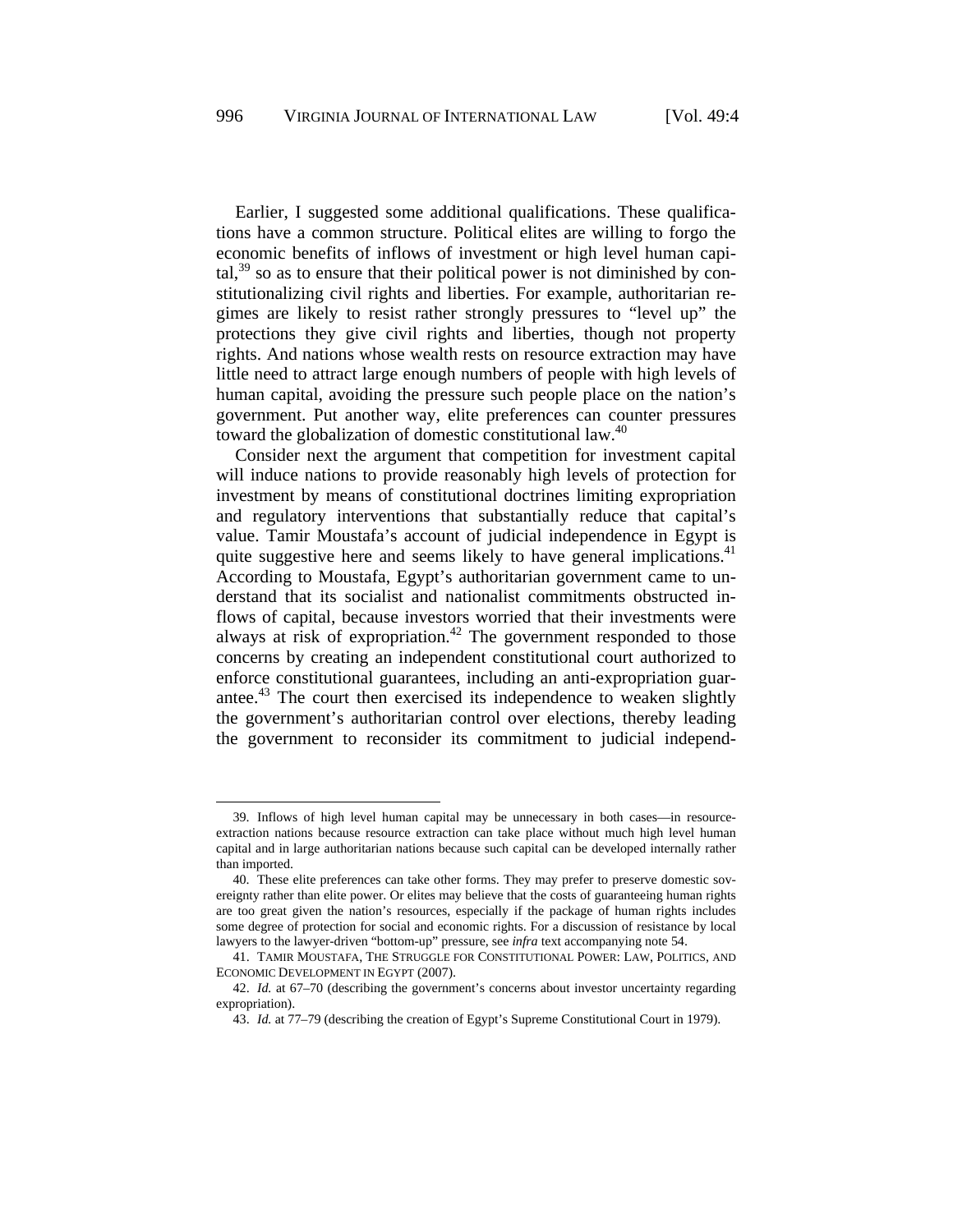Earlier, I suggested some additional qualifications. These qualifications have a common structure. Political elites are willing to forgo the economic benefits of inflows of investment or high level human capital, $39$  so as to ensure that their political power is not diminished by constitutionalizing civil rights and liberties. For example, authoritarian regimes are likely to resist rather strongly pressures to "level up" the protections they give civil rights and liberties, though not property rights. And nations whose wealth rests on resource extraction may have little need to attract large enough numbers of people with high levels of human capital, avoiding the pressure such people place on the nation's government. Put another way, elite preferences can counter pressures toward the globalization of domestic constitutional law.<sup>40</sup>

Consider next the argument that competition for investment capital will induce nations to provide reasonably high levels of protection for investment by means of constitutional doctrines limiting expropriation and regulatory interventions that substantially reduce that capital's value. Tamir Moustafa's account of judicial independence in Egypt is quite suggestive here and seems likely to have general implications. $41$ According to Moustafa, Egypt's authoritarian government came to understand that its socialist and nationalist commitments obstructed inflows of capital, because investors worried that their investments were always at risk of expropriation.<sup>42</sup> The government responded to those concerns by creating an independent constitutional court authorized to enforce constitutional guarantees, including an anti-expropriation guarantee.<sup>43</sup> The court then exercised its independence to weaken slightly the government's authoritarian control over elections, thereby leading the government to reconsider its commitment to judicial independ-

<sup>39.</sup> Inflows of high level human capital may be unnecessary in both cases—in resourceextraction nations because resource extraction can take place without much high level human capital and in large authoritarian nations because such capital can be developed internally rather than imported.

<sup>40.</sup> These elite preferences can take other forms. They may prefer to preserve domestic sovereignty rather than elite power. Or elites may believe that the costs of guaranteeing human rights are too great given the nation's resources, especially if the package of human rights includes some degree of protection for social and economic rights. For a discussion of resistance by local lawyers to the lawyer-driven "bottom-up" pressure, see *infra* text accompanying note 54.

<sup>41.</sup> TAMIR MOUSTAFA, THE STRUGGLE FOR CONSTITUTIONAL POWER: LAW, POLITICS, AND ECONOMIC DEVELOPMENT IN EGYPT (2007).

<sup>42.</sup> *Id.* at 67–70 (describing the government's concerns about investor uncertainty regarding expropriation).

<sup>43.</sup> *Id.* at 77–79 (describing the creation of Egypt's Supreme Constitutional Court in 1979).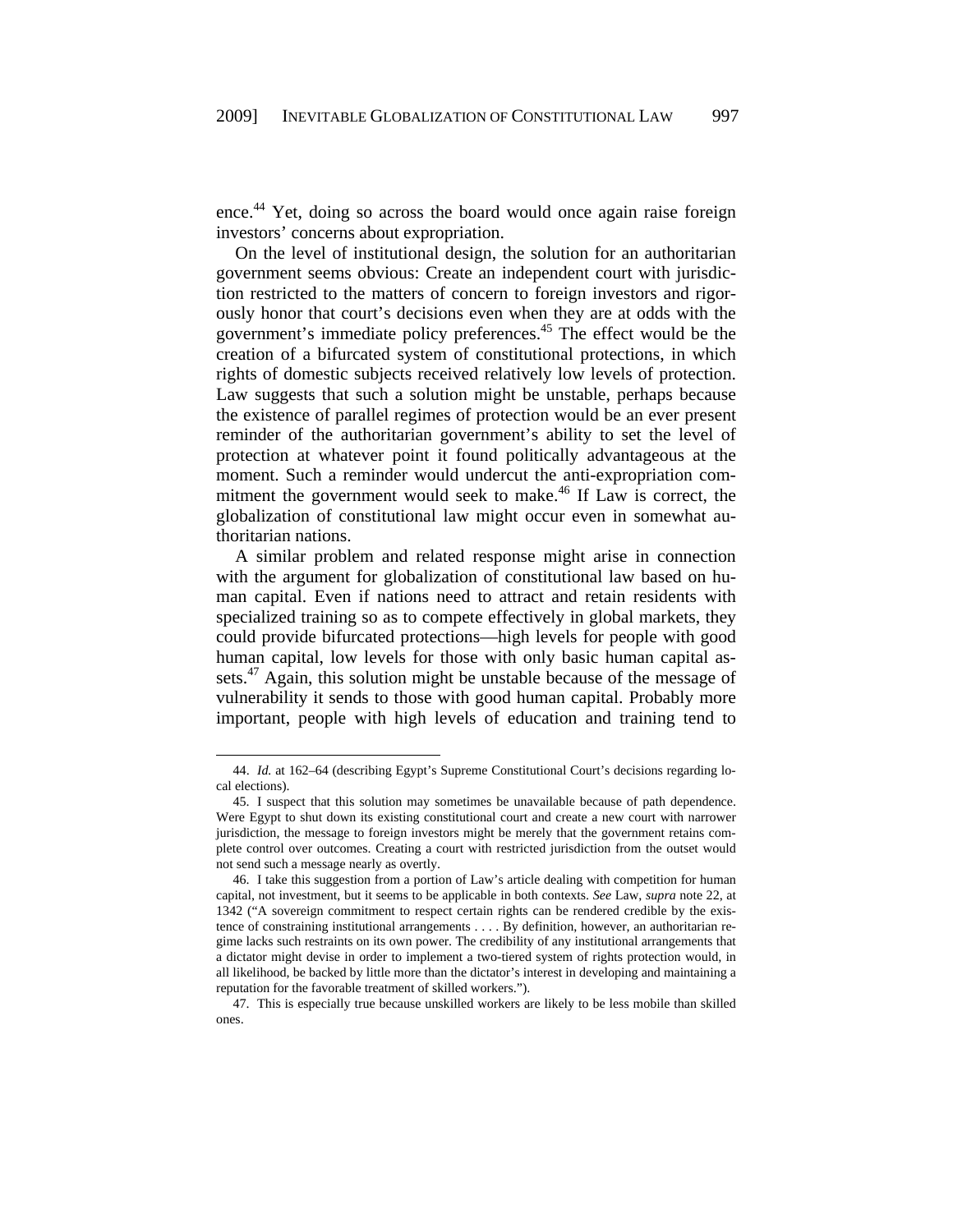ence.<sup>44</sup> Yet, doing so across the board would once again raise foreign investors' concerns about expropriation.

On the level of institutional design, the solution for an authoritarian government seems obvious: Create an independent court with jurisdiction restricted to the matters of concern to foreign investors and rigorously honor that court's decisions even when they are at odds with the government's immediate policy preferences.45 The effect would be the creation of a bifurcated system of constitutional protections, in which rights of domestic subjects received relatively low levels of protection. Law suggests that such a solution might be unstable, perhaps because the existence of parallel regimes of protection would be an ever present reminder of the authoritarian government's ability to set the level of protection at whatever point it found politically advantageous at the moment. Such a reminder would undercut the anti-expropriation commitment the government would seek to make.<sup>46</sup> If Law is correct, the globalization of constitutional law might occur even in somewhat authoritarian nations.

A similar problem and related response might arise in connection with the argument for globalization of constitutional law based on human capital. Even if nations need to attract and retain residents with specialized training so as to compete effectively in global markets, they could provide bifurcated protections—high levels for people with good human capital, low levels for those with only basic human capital assets.<sup>47</sup> Again, this solution might be unstable because of the message of vulnerability it sends to those with good human capital. Probably more important, people with high levels of education and training tend to

<sup>44.</sup> *Id.* at 162–64 (describing Egypt's Supreme Constitutional Court's decisions regarding local elections).

<sup>45.</sup> I suspect that this solution may sometimes be unavailable because of path dependence. Were Egypt to shut down its existing constitutional court and create a new court with narrower jurisdiction, the message to foreign investors might be merely that the government retains complete control over outcomes. Creating a court with restricted jurisdiction from the outset would not send such a message nearly as overtly.

<sup>46.</sup> I take this suggestion from a portion of Law's article dealing with competition for human capital, not investment, but it seems to be applicable in both contexts. *See* Law, *supra* note 22, at 1342 ("A sovereign commitment to respect certain rights can be rendered credible by the existence of constraining institutional arrangements . . . . By definition, however, an authoritarian regime lacks such restraints on its own power. The credibility of any institutional arrangements that a dictator might devise in order to implement a two-tiered system of rights protection would, in all likelihood, be backed by little more than the dictator's interest in developing and maintaining a reputation for the favorable treatment of skilled workers.").

<sup>47.</sup> This is especially true because unskilled workers are likely to be less mobile than skilled ones.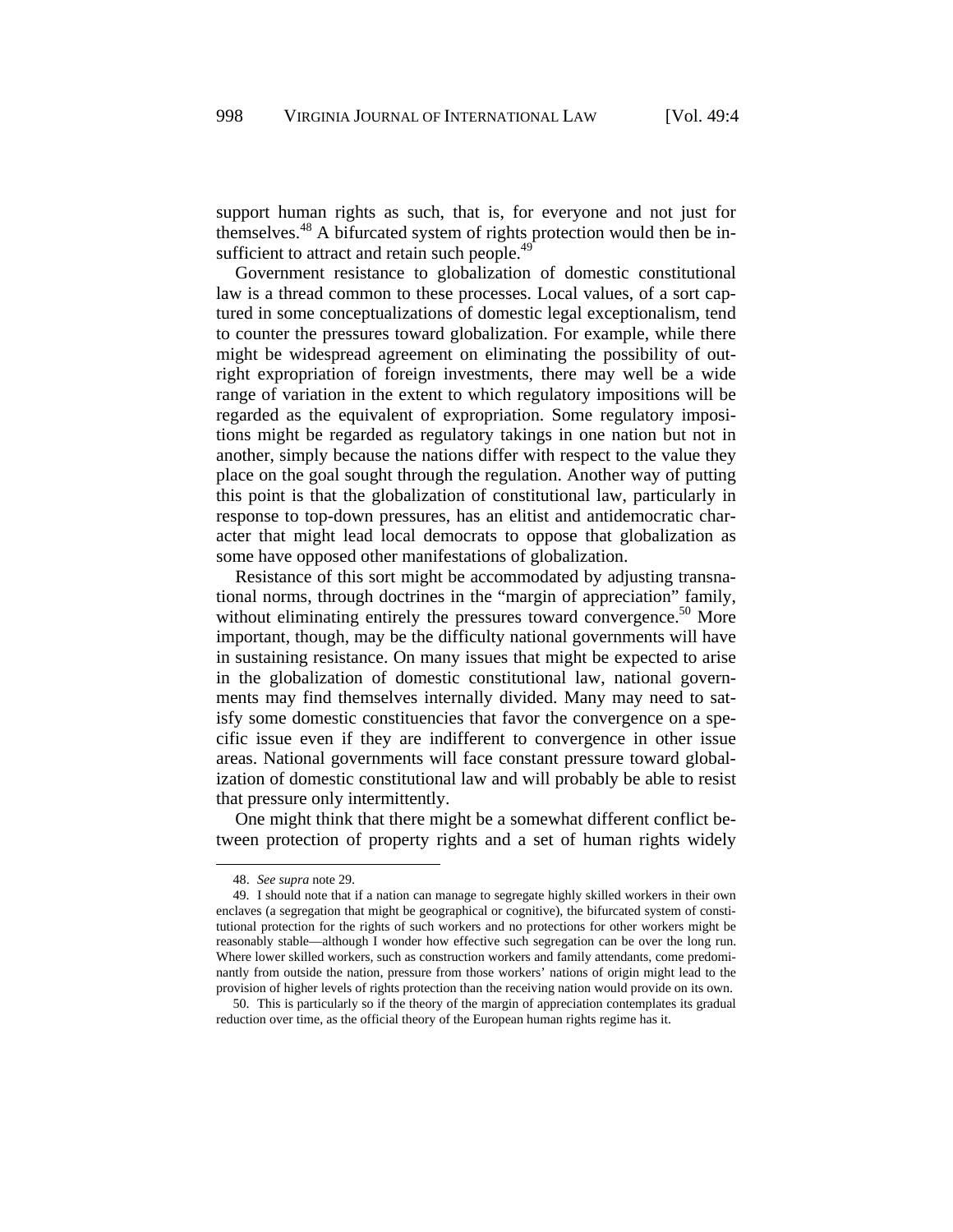support human rights as such, that is, for everyone and not just for themselves.48 A bifurcated system of rights protection would then be insufficient to attract and retain such people.<sup>49</sup>

Government resistance to globalization of domestic constitutional law is a thread common to these processes. Local values, of a sort captured in some conceptualizations of domestic legal exceptionalism, tend to counter the pressures toward globalization. For example, while there might be widespread agreement on eliminating the possibility of outright expropriation of foreign investments, there may well be a wide range of variation in the extent to which regulatory impositions will be regarded as the equivalent of expropriation. Some regulatory impositions might be regarded as regulatory takings in one nation but not in another, simply because the nations differ with respect to the value they place on the goal sought through the regulation. Another way of putting this point is that the globalization of constitutional law, particularly in response to top-down pressures, has an elitist and antidemocratic character that might lead local democrats to oppose that globalization as some have opposed other manifestations of globalization.

Resistance of this sort might be accommodated by adjusting transnational norms, through doctrines in the "margin of appreciation" family, without eliminating entirely the pressures toward convergence.<sup>50</sup> More important, though, may be the difficulty national governments will have in sustaining resistance. On many issues that might be expected to arise in the globalization of domestic constitutional law, national governments may find themselves internally divided. Many may need to satisfy some domestic constituencies that favor the convergence on a specific issue even if they are indifferent to convergence in other issue areas. National governments will face constant pressure toward globalization of domestic constitutional law and will probably be able to resist that pressure only intermittently.

One might think that there might be a somewhat different conflict between protection of property rights and a set of human rights widely

<sup>48.</sup> *See supra* note 29.

<sup>49.</sup> I should note that if a nation can manage to segregate highly skilled workers in their own enclaves (a segregation that might be geographical or cognitive), the bifurcated system of constitutional protection for the rights of such workers and no protections for other workers might be reasonably stable—although I wonder how effective such segregation can be over the long run. Where lower skilled workers, such as construction workers and family attendants, come predominantly from outside the nation, pressure from those workers' nations of origin might lead to the provision of higher levels of rights protection than the receiving nation would provide on its own.

<sup>50.</sup> This is particularly so if the theory of the margin of appreciation contemplates its gradual reduction over time, as the official theory of the European human rights regime has it.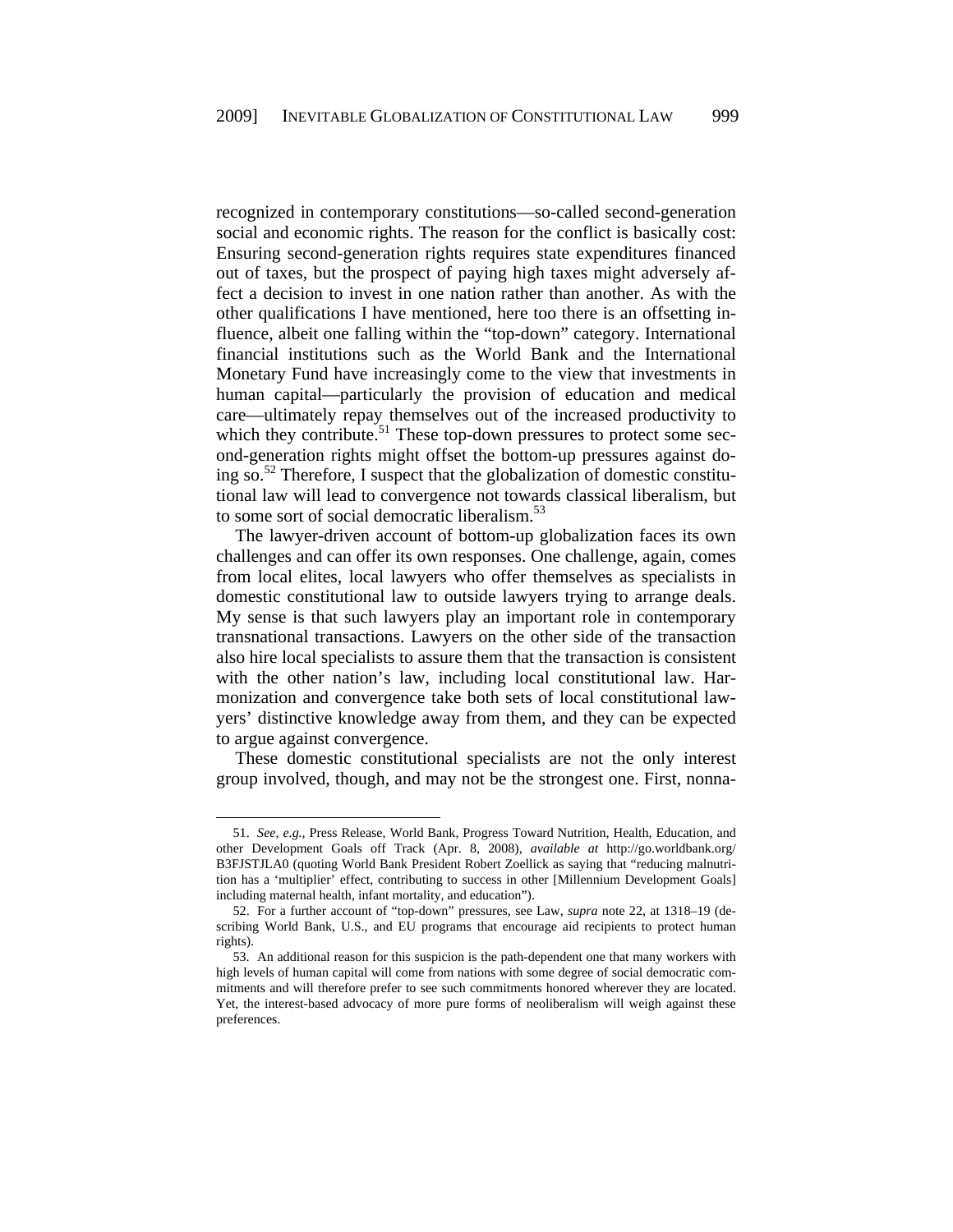recognized in contemporary constitutions—so-called second-generation social and economic rights. The reason for the conflict is basically cost: Ensuring second-generation rights requires state expenditures financed out of taxes, but the prospect of paying high taxes might adversely affect a decision to invest in one nation rather than another. As with the other qualifications I have mentioned, here too there is an offsetting influence, albeit one falling within the "top-down" category. International financial institutions such as the World Bank and the International Monetary Fund have increasingly come to the view that investments in human capital—particularly the provision of education and medical care—ultimately repay themselves out of the increased productivity to which they contribute.<sup>51</sup> These top-down pressures to protect some second-generation rights might offset the bottom-up pressures against doing so.<sup>52</sup> Therefore, I suspect that the globalization of domestic constitutional law will lead to convergence not towards classical liberalism, but to some sort of social democratic liberalism.<sup>53</sup>

The lawyer-driven account of bottom-up globalization faces its own challenges and can offer its own responses. One challenge, again, comes from local elites, local lawyers who offer themselves as specialists in domestic constitutional law to outside lawyers trying to arrange deals. My sense is that such lawyers play an important role in contemporary transnational transactions. Lawyers on the other side of the transaction also hire local specialists to assure them that the transaction is consistent with the other nation's law, including local constitutional law. Harmonization and convergence take both sets of local constitutional lawyers' distinctive knowledge away from them, and they can be expected to argue against convergence.

These domestic constitutional specialists are not the only interest group involved, though, and may not be the strongest one. First, nonna-

<sup>51.</sup> *See, e.g.*, Press Release, World Bank, Progress Toward Nutrition, Health, Education, and other Development Goals off Track (Apr. 8, 2008), *available at* http://go.worldbank.org/ B3FJSTJLA0 (quoting World Bank President Robert Zoellick as saying that "reducing malnutrition has a 'multiplier' effect, contributing to success in other [Millennium Development Goals] including maternal health, infant mortality, and education").

<sup>52.</sup> For a further account of "top-down" pressures, see Law, *supra* note 22, at 1318–19 (describing World Bank, U.S., and EU programs that encourage aid recipients to protect human rights).

<sup>53.</sup> An additional reason for this suspicion is the path-dependent one that many workers with high levels of human capital will come from nations with some degree of social democratic commitments and will therefore prefer to see such commitments honored wherever they are located. Yet, the interest-based advocacy of more pure forms of neoliberalism will weigh against these preferences.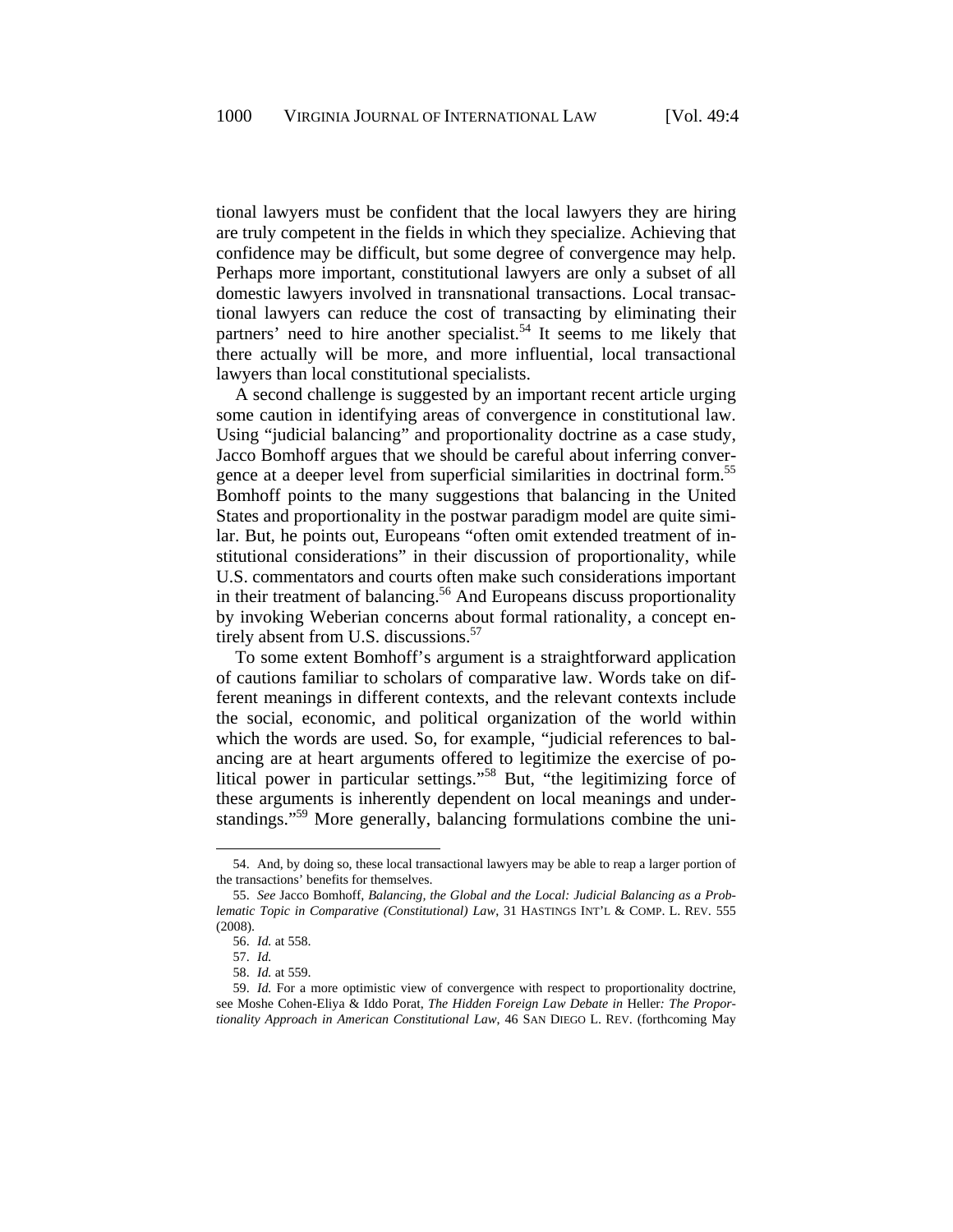tional lawyers must be confident that the local lawyers they are hiring are truly competent in the fields in which they specialize. Achieving that confidence may be difficult, but some degree of convergence may help. Perhaps more important, constitutional lawyers are only a subset of all domestic lawyers involved in transnational transactions. Local transactional lawyers can reduce the cost of transacting by eliminating their partners' need to hire another specialist.<sup>54</sup> It seems to me likely that there actually will be more, and more influential, local transactional lawyers than local constitutional specialists.

A second challenge is suggested by an important recent article urging some caution in identifying areas of convergence in constitutional law. Using "judicial balancing" and proportionality doctrine as a case study, Jacco Bomhoff argues that we should be careful about inferring convergence at a deeper level from superficial similarities in doctrinal form.<sup>55</sup> Bomhoff points to the many suggestions that balancing in the United States and proportionality in the postwar paradigm model are quite similar. But, he points out, Europeans "often omit extended treatment of institutional considerations" in their discussion of proportionality, while U.S. commentators and courts often make such considerations important in their treatment of balancing.<sup>56</sup> And Europeans discuss proportionality by invoking Weberian concerns about formal rationality, a concept entirely absent from U.S. discussions.<sup>57</sup>

To some extent Bomhoff's argument is a straightforward application of cautions familiar to scholars of comparative law. Words take on different meanings in different contexts, and the relevant contexts include the social, economic, and political organization of the world within which the words are used. So, for example, "judicial references to balancing are at heart arguments offered to legitimize the exercise of political power in particular settings."58 But, "the legitimizing force of these arguments is inherently dependent on local meanings and understandings."<sup>59</sup> More generally, balancing formulations combine the uni-

<sup>54.</sup> And, by doing so, these local transactional lawyers may be able to reap a larger portion of the transactions' benefits for themselves.

<sup>55.</sup> *See* Jacco Bomhoff, *Balancing, the Global and the Local: Judicial Balancing as a Problematic Topic in Comparative (Constitutional) Law*, 31 HASTINGS INT'L & COMP. L. REV. 555 (2008).

<sup>56.</sup> *Id.* at 558.

<sup>57.</sup> *Id.* 

<sup>58.</sup> *Id.* at 559.

<sup>59.</sup> *Id.* For a more optimistic view of convergence with respect to proportionality doctrine, see Moshe Cohen-Eliya & Iddo Porat, *The Hidden Foreign Law Debate in* Heller*: The Proportionality Approach in American Constitutional Law*, 46 SAN DIEGO L. REV. (forthcoming May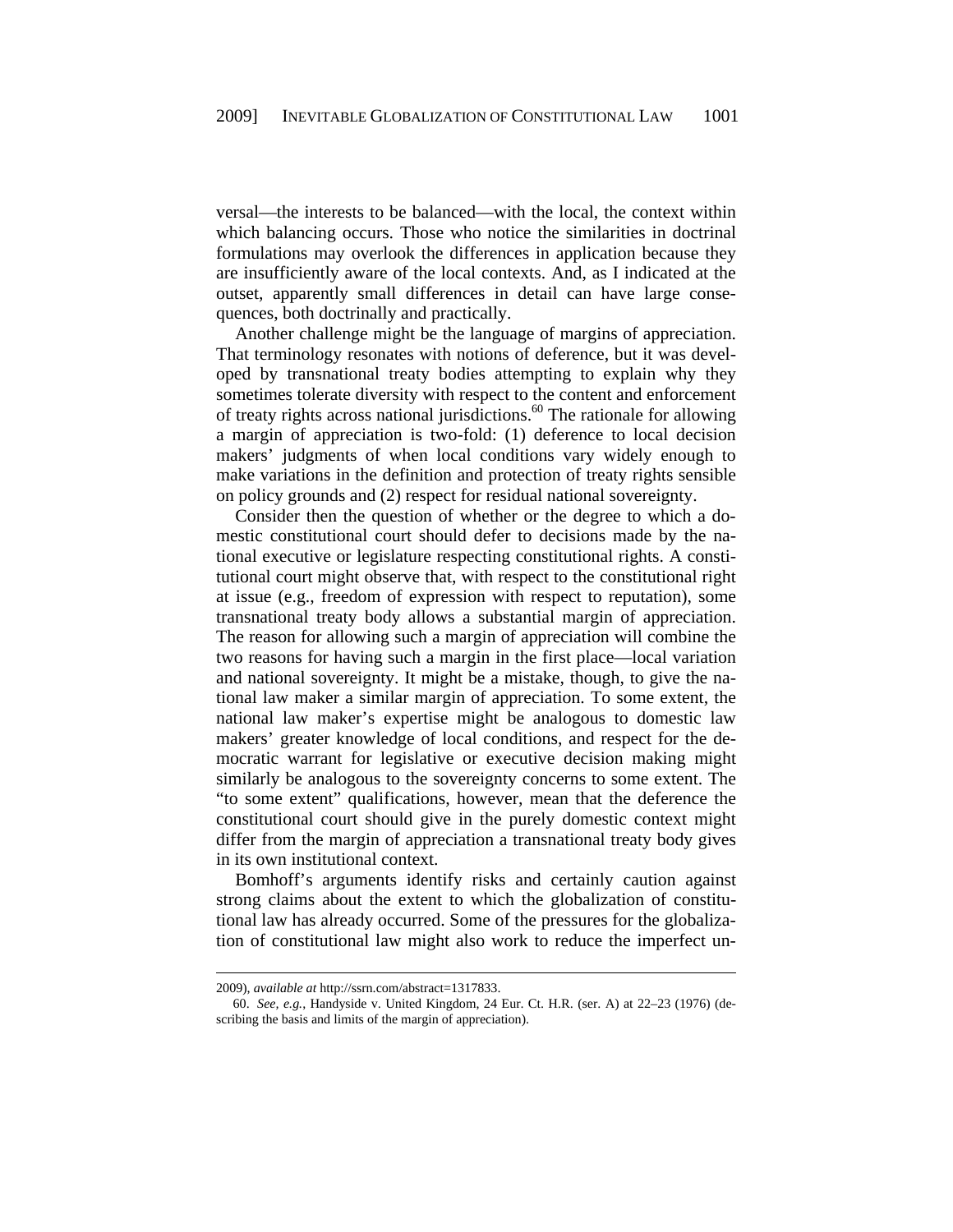versal—the interests to be balanced—with the local, the context within which balancing occurs. Those who notice the similarities in doctrinal formulations may overlook the differences in application because they are insufficiently aware of the local contexts. And, as I indicated at the outset, apparently small differences in detail can have large consequences, both doctrinally and practically.

Another challenge might be the language of margins of appreciation. That terminology resonates with notions of deference, but it was developed by transnational treaty bodies attempting to explain why they sometimes tolerate diversity with respect to the content and enforcement of treaty rights across national jurisdictions.<sup>60</sup> The rationale for allowing a margin of appreciation is two-fold: (1) deference to local decision makers' judgments of when local conditions vary widely enough to make variations in the definition and protection of treaty rights sensible on policy grounds and (2) respect for residual national sovereignty.

Consider then the question of whether or the degree to which a domestic constitutional court should defer to decisions made by the national executive or legislature respecting constitutional rights. A constitutional court might observe that, with respect to the constitutional right at issue (e.g., freedom of expression with respect to reputation), some transnational treaty body allows a substantial margin of appreciation. The reason for allowing such a margin of appreciation will combine the two reasons for having such a margin in the first place—local variation and national sovereignty. It might be a mistake, though, to give the national law maker a similar margin of appreciation. To some extent, the national law maker's expertise might be analogous to domestic law makers' greater knowledge of local conditions, and respect for the democratic warrant for legislative or executive decision making might similarly be analogous to the sovereignty concerns to some extent. The "to some extent" qualifications, however, mean that the deference the constitutional court should give in the purely domestic context might differ from the margin of appreciation a transnational treaty body gives in its own institutional context.

Bomhoff's arguments identify risks and certainly caution against strong claims about the extent to which the globalization of constitutional law has already occurred. Some of the pressures for the globalization of constitutional law might also work to reduce the imperfect un-

l

<sup>2009),</sup> *available at* http://ssrn.com/abstract=1317833.

<sup>60.</sup> *See, e.g.*, Handyside v. United Kingdom, 24 Eur. Ct. H.R. (ser. A) at 22–23 (1976) (describing the basis and limits of the margin of appreciation).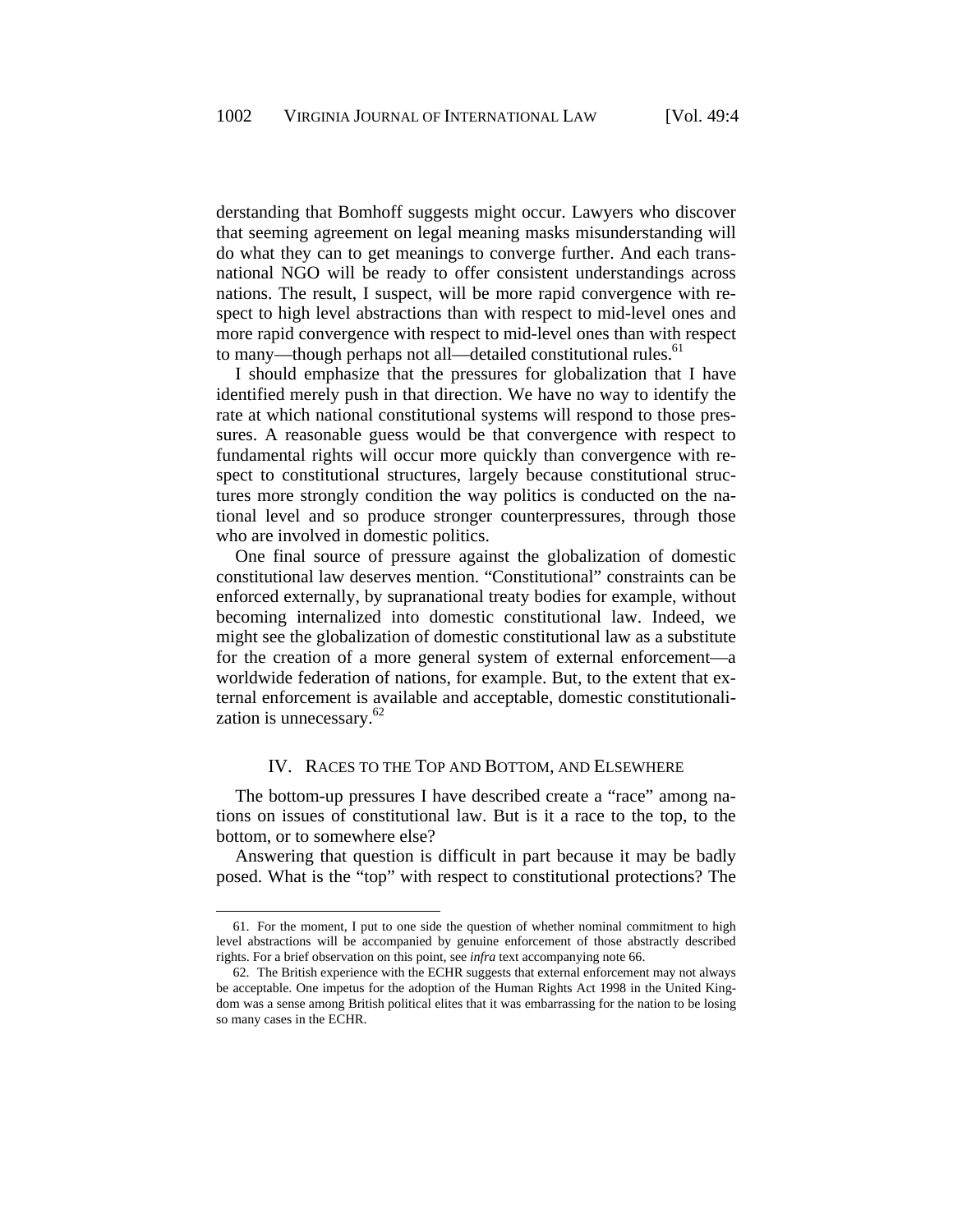derstanding that Bomhoff suggests might occur. Lawyers who discover that seeming agreement on legal meaning masks misunderstanding will do what they can to get meanings to converge further. And each transnational NGO will be ready to offer consistent understandings across nations. The result, I suspect, will be more rapid convergence with respect to high level abstractions than with respect to mid-level ones and more rapid convergence with respect to mid-level ones than with respect to many—though perhaps not all—detailed constitutional rules.<sup>61</sup>

I should emphasize that the pressures for globalization that I have identified merely push in that direction. We have no way to identify the rate at which national constitutional systems will respond to those pressures. A reasonable guess would be that convergence with respect to fundamental rights will occur more quickly than convergence with respect to constitutional structures, largely because constitutional structures more strongly condition the way politics is conducted on the national level and so produce stronger counterpressures, through those who are involved in domestic politics.

One final source of pressure against the globalization of domestic constitutional law deserves mention. "Constitutional" constraints can be enforced externally, by supranational treaty bodies for example, without becoming internalized into domestic constitutional law. Indeed, we might see the globalization of domestic constitutional law as a substitute for the creation of a more general system of external enforcement—a worldwide federation of nations, for example. But, to the extent that external enforcement is available and acceptable, domestic constitutionalization is unnecessary. $62$ 

#### IV. RACES TO THE TOP AND BOTTOM, AND ELSEWHERE

The bottom-up pressures I have described create a "race" among nations on issues of constitutional law. But is it a race to the top, to the bottom, or to somewhere else?

Answering that question is difficult in part because it may be badly posed. What is the "top" with respect to constitutional protections? The

<sup>61.</sup> For the moment, I put to one side the question of whether nominal commitment to high level abstractions will be accompanied by genuine enforcement of those abstractly described rights. For a brief observation on this point, see *infra* text accompanying note 66.

<sup>62.</sup> The British experience with the ECHR suggests that external enforcement may not always be acceptable. One impetus for the adoption of the Human Rights Act 1998 in the United Kingdom was a sense among British political elites that it was embarrassing for the nation to be losing so many cases in the ECHR.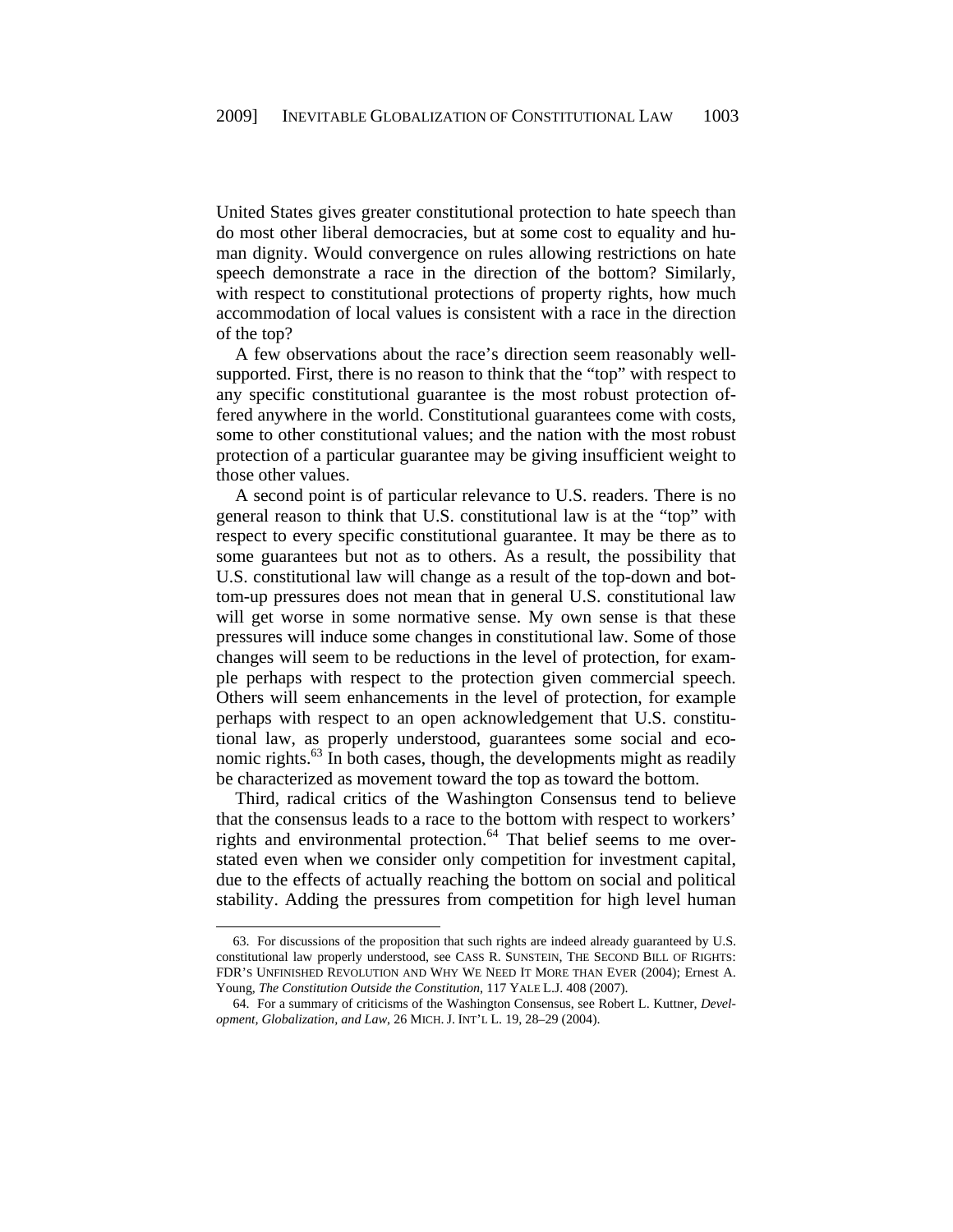United States gives greater constitutional protection to hate speech than do most other liberal democracies, but at some cost to equality and human dignity. Would convergence on rules allowing restrictions on hate speech demonstrate a race in the direction of the bottom? Similarly, with respect to constitutional protections of property rights, how much accommodation of local values is consistent with a race in the direction of the top?

A few observations about the race's direction seem reasonably wellsupported. First, there is no reason to think that the "top" with respect to any specific constitutional guarantee is the most robust protection offered anywhere in the world. Constitutional guarantees come with costs, some to other constitutional values; and the nation with the most robust protection of a particular guarantee may be giving insufficient weight to those other values.

A second point is of particular relevance to U.S. readers. There is no general reason to think that U.S. constitutional law is at the "top" with respect to every specific constitutional guarantee. It may be there as to some guarantees but not as to others. As a result, the possibility that U.S. constitutional law will change as a result of the top-down and bottom-up pressures does not mean that in general U.S. constitutional law will get worse in some normative sense. My own sense is that these pressures will induce some changes in constitutional law. Some of those changes will seem to be reductions in the level of protection, for example perhaps with respect to the protection given commercial speech. Others will seem enhancements in the level of protection, for example perhaps with respect to an open acknowledgement that U.S. constitutional law, as properly understood, guarantees some social and economic rights. $^{63}$  In both cases, though, the developments might as readily be characterized as movement toward the top as toward the bottom.

Third, radical critics of the Washington Consensus tend to believe that the consensus leads to a race to the bottom with respect to workers' rights and environmental protection.<sup>64</sup> That belief seems to me overstated even when we consider only competition for investment capital, due to the effects of actually reaching the bottom on social and political stability. Adding the pressures from competition for high level human

1

<sup>63.</sup> For discussions of the proposition that such rights are indeed already guaranteed by U.S. constitutional law properly understood, see CASS R. SUNSTEIN, THE SECOND BILL OF RIGHTS: FDR'S UNFINISHED REVOLUTION AND WHY WE NEED IT MORE THAN EVER (2004); Ernest A. Young, *The Constitution Outside the Constitution*, 117 YALE L.J. 408 (2007).

<sup>64.</sup> For a summary of criticisms of the Washington Consensus, see Robert L. Kuttner, *Development, Globalization, and Law*, 26 MICH. J. INT'L L. 19, 28–29 (2004).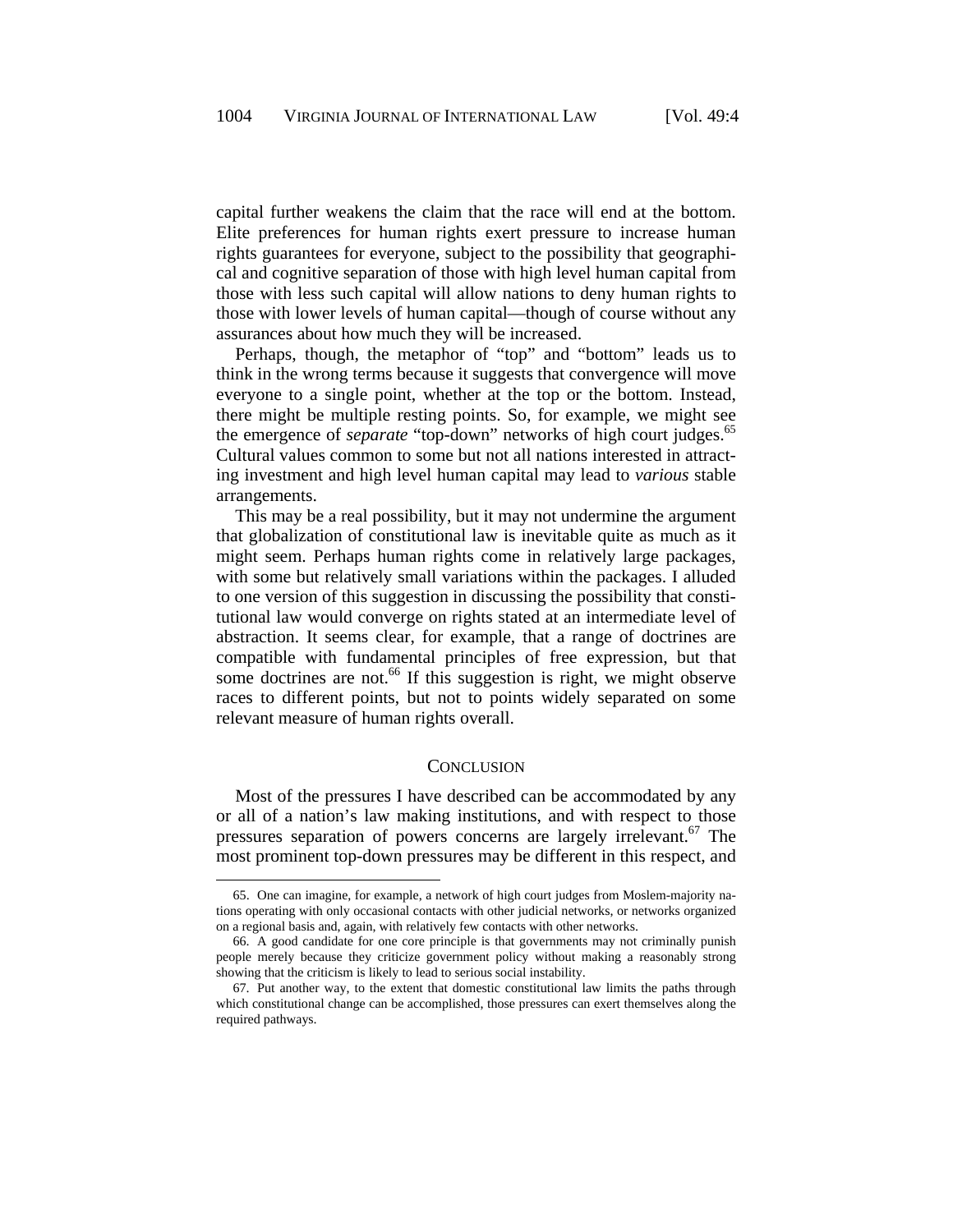capital further weakens the claim that the race will end at the bottom. Elite preferences for human rights exert pressure to increase human rights guarantees for everyone, subject to the possibility that geographical and cognitive separation of those with high level human capital from those with less such capital will allow nations to deny human rights to those with lower levels of human capital—though of course without any assurances about how much they will be increased.

Perhaps, though, the metaphor of "top" and "bottom" leads us to think in the wrong terms because it suggests that convergence will move everyone to a single point, whether at the top or the bottom. Instead, there might be multiple resting points. So, for example, we might see the emergence of *separate* "top-down" networks of high court judges.<sup>65</sup> Cultural values common to some but not all nations interested in attracting investment and high level human capital may lead to *various* stable arrangements.

This may be a real possibility, but it may not undermine the argument that globalization of constitutional law is inevitable quite as much as it might seem. Perhaps human rights come in relatively large packages, with some but relatively small variations within the packages. I alluded to one version of this suggestion in discussing the possibility that constitutional law would converge on rights stated at an intermediate level of abstraction. It seems clear, for example, that a range of doctrines are compatible with fundamental principles of free expression, but that some doctrines are not.<sup>66</sup> If this suggestion is right, we might observe races to different points, but not to points widely separated on some relevant measure of human rights overall.

#### **CONCLUSION**

Most of the pressures I have described can be accommodated by any or all of a nation's law making institutions, and with respect to those pressures separation of powers concerns are largely irrelevant.<sup>67</sup> The most prominent top-down pressures may be different in this respect, and

1

<sup>65.</sup> One can imagine, for example, a network of high court judges from Moslem-majority nations operating with only occasional contacts with other judicial networks, or networks organized on a regional basis and, again, with relatively few contacts with other networks.

<sup>66.</sup> A good candidate for one core principle is that governments may not criminally punish people merely because they criticize government policy without making a reasonably strong showing that the criticism is likely to lead to serious social instability.

<sup>67.</sup> Put another way, to the extent that domestic constitutional law limits the paths through which constitutional change can be accomplished, those pressures can exert themselves along the required pathways.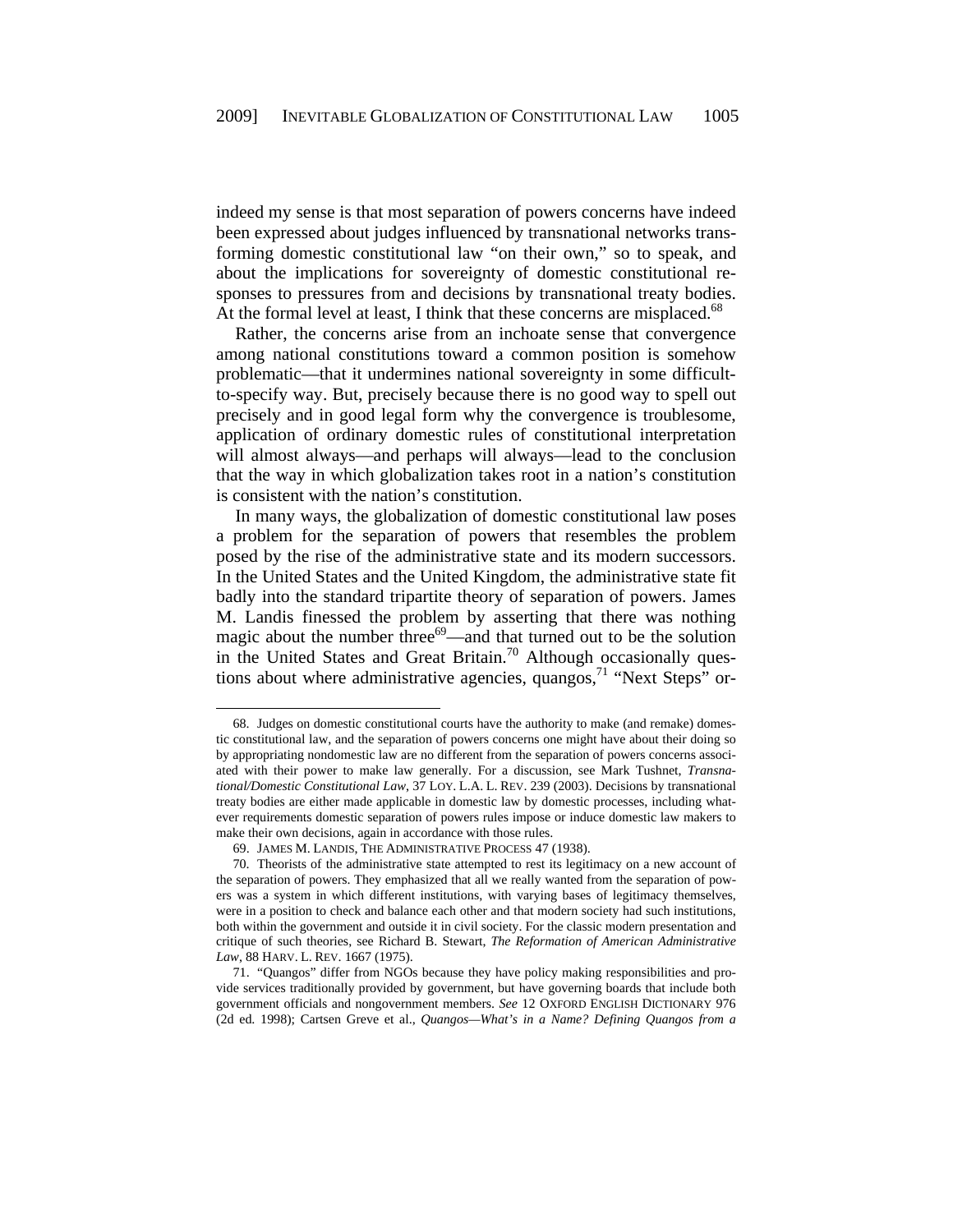indeed my sense is that most separation of powers concerns have indeed been expressed about judges influenced by transnational networks transforming domestic constitutional law "on their own," so to speak, and about the implications for sovereignty of domestic constitutional responses to pressures from and decisions by transnational treaty bodies. At the formal level at least, I think that these concerns are misplaced.<sup>68</sup>

Rather, the concerns arise from an inchoate sense that convergence among national constitutions toward a common position is somehow problematic—that it undermines national sovereignty in some difficultto-specify way. But, precisely because there is no good way to spell out precisely and in good legal form why the convergence is troublesome, application of ordinary domestic rules of constitutional interpretation will almost always—and perhaps will always—lead to the conclusion that the way in which globalization takes root in a nation's constitution is consistent with the nation's constitution.

In many ways, the globalization of domestic constitutional law poses a problem for the separation of powers that resembles the problem posed by the rise of the administrative state and its modern successors. In the United States and the United Kingdom, the administrative state fit badly into the standard tripartite theory of separation of powers. James M. Landis finessed the problem by asserting that there was nothing magic about the number three<sup>69</sup>—and that turned out to be the solution in the United States and Great Britain.<sup>70</sup> Although occasionally questions about where administrative agencies, quangos,  $^{71}$  "Next Steps" or-

<sup>68.</sup> Judges on domestic constitutional courts have the authority to make (and remake) domestic constitutional law, and the separation of powers concerns one might have about their doing so by appropriating nondomestic law are no different from the separation of powers concerns associated with their power to make law generally. For a discussion, see Mark Tushnet, *Transnational/Domestic Constitutional Law*, 37 LOY. L.A. L. REV. 239 (2003). Decisions by transnational treaty bodies are either made applicable in domestic law by domestic processes, including whatever requirements domestic separation of powers rules impose or induce domestic law makers to make their own decisions, again in accordance with those rules.

<sup>69.</sup> JAMES M. LANDIS, THE ADMINISTRATIVE PROCESS 47 (1938).

<sup>70.</sup> Theorists of the administrative state attempted to rest its legitimacy on a new account of the separation of powers. They emphasized that all we really wanted from the separation of powers was a system in which different institutions, with varying bases of legitimacy themselves, were in a position to check and balance each other and that modern society had such institutions, both within the government and outside it in civil society. For the classic modern presentation and critique of such theories, see Richard B. Stewart, *The Reformation of American Administrative Law*, 88 HARV. L. REV. 1667 (1975).

<sup>71. &</sup>quot;Quangos" differ from NGOs because they have policy making responsibilities and provide services traditionally provided by government, but have governing boards that include both government officials and nongovernment members. *See* 12 OXFORD ENGLISH DICTIONARY 976 (2d ed. 1998); Cartsen Greve et al., *Quangos—What's in a Name? Defining Quangos from a*